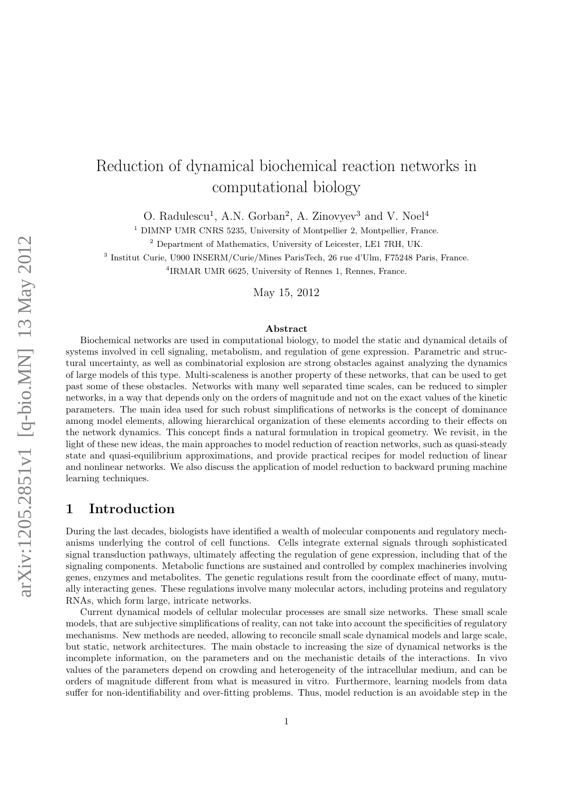# Reduction of dynamical biochemical reaction networks in computational biology

O. Radulescu<sup>1</sup>, A.N. Gorban<sup>2</sup>, A. Zinovyev<sup>3</sup> and V. Noel<sup>4</sup>

<sup>1</sup> DIMNP UMR CNRS 5235, University of Montpellier 2, Montpellier, France.

<sup>2</sup> Department of Mathematics, University of Leicester, LE1 7RH, UK.

3 Institut Curie, U900 INSERM/Curie/Mines ParisTech, 26 rue d'Ulm, F75248 Paris, France.

4 IRMAR UMR 6625, University of Rennes 1, Rennes, France.

May 15, 2012

#### Abstract

Biochemical networks are used in computational biology, to model the static and dynamical details of systems involved in cell signaling, metabolism, and regulation of gene expression. Parametric and structural uncertainty, as well as combinatorial explosion are strong obstacles against analyzing the dynamics of large models of this type. Multi-scaleness is another property of these networks, that can be used to get past some of these obstacles. Networks with many well separated time scales, can be reduced to simpler networks, in a way that depends only on the orders of magnitude and not on the exact values of the kinetic parameters. The main idea used for such robust simplifications of networks is the concept of dominance among model elements, allowing hierarchical organization of these elements according to their effects on the network dynamics. This concept finds a natural formulation in tropical geometry. We revisit, in the light of these new ideas, the main approaches to model reduction of reaction networks, such as quasi-steady state and quasi-equilibrium approximations, and provide practical recipes for model reduction of linear and nonlinear networks. We also discuss the application of model reduction to backward pruning machine learning techniques.

### 1 Introduction

During the last decades, biologists have identified a wealth of molecular components and regulatory mechanisms underlying the control of cell functions. Cells integrate external signals through sophisticated signal transduction pathways, ultimately affecting the regulation of gene expression, including that of the signaling components. Metabolic functions are sustained and controlled by complex machineries involving genes, enzymes and metabolites. The genetic regulations result from the coordinate effect of many, mutually interacting genes. These regulations involve many molecular actors, including proteins and regulatory RNAs, which form large, intricate networks.

Current dynamical models of cellular molecular processes are small size networks. These small scale models, that are subjective simplifications of reality, can not take into account the specificities of regulatory mechanisms. New methods are needed, allowing to reconcile small scale dynamical models and large scale, but static, network architectures. The main obstacle to increasing the size of dynamical networks is the incomplete information, on the parameters and on the mechanistic details of the interactions. In vivo values of the parameters depend on crowding and heterogeneity of the intracellular medium, and can be orders of magnitude different from what is measured in vitro. Furthermore, learning models from data suffer for non-identifiability and over-fitting problems. Thus, model reduction is an avoidable step in the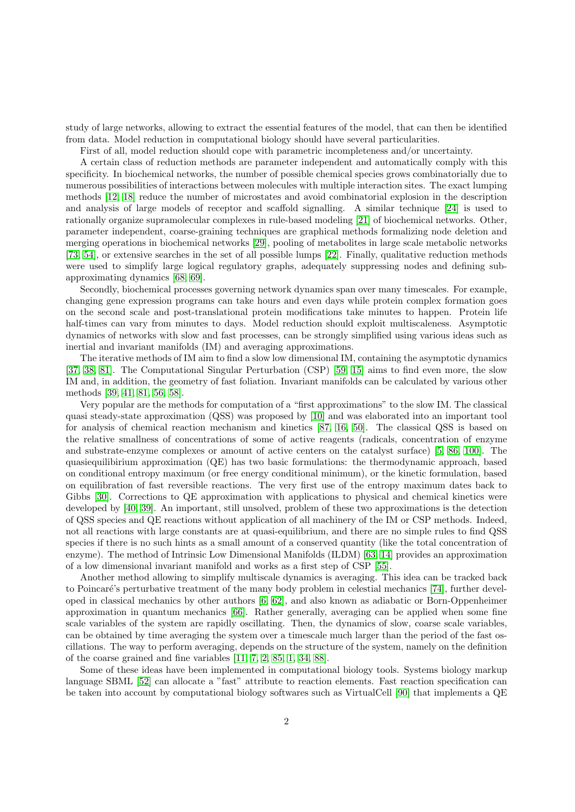study of large networks, allowing to extract the essential features of the model, that can then be identified from data. Model reduction in computational biology should have several particularities.

First of all, model reduction should cope with parametric incompleteness and/or uncertainty.

A certain class of reduction methods are parameter independent and automatically comply with this specificity. In biochemical networks, the number of possible chemical species grows combinatorially due to numerous possibilities of interactions between molecules with multiple interaction sites. The exact lumping methods [\[12,](#page-12-0) [18\]](#page-12-1) reduce the number of microstates and avoid combinatorial explosion in the description and analysis of large models of receptor and scaffold signalling. A similar technique [\[24\]](#page-12-2) is used to rationally organize supramolecular complexes in rule-based modeling [\[21\]](#page-12-3) of biochemical networks. Other, parameter independent, coarse-graining techniques are graphical methods formalizing node deletion and merging operations in biochemical networks [\[29\]](#page-13-0), pooling of metabolites in large scale metabolic networks [\[73,](#page-15-0) [54\]](#page-14-0), or extensive searches in the set of all possible lumps [\[22\]](#page-12-4). Finally, qualitative reduction methods were used to simplify large logical regulatory graphs, adequately suppressing nodes and defining subapproximating dynamics [\[68,](#page-15-1) [69\]](#page-15-2).

Secondly, biochemical processes governing network dynamics span over many timescales. For example, changing gene expression programs can take hours and even days while protein complex formation goes on the second scale and post-translational protein modifications take minutes to happen. Protein life half-times can vary from minutes to days. Model reduction should exploit multiscaleness. Asymptotic dynamics of networks with slow and fast processes, can be strongly simplified using various ideas such as inertial and invariant manifolds (IM) and averaging approximations.

The iterative methods of IM aim to find a slow low dimensional IM, containing the asymptotic dynamics [\[37,](#page-13-1) [38,](#page-13-2) [81\]](#page-16-0). The Computational Singular Perturbation (CSP) [\[59,](#page-14-1) [15\]](#page-12-5) aims to find even more, the slow IM and, in addition, the geometry of fast foliation. Invariant manifolds can be calculated by various other methods [\[39,](#page-13-3) [41,](#page-13-4) [81,](#page-16-0) [56,](#page-14-2) [58\]](#page-14-3).

Very popular are the methods for computation of a "first approximations" to the slow IM. The classical quasi steady-state approximation (QSS) was proposed by [\[10\]](#page-12-6) and was elaborated into an important tool for analysis of chemical reaction mechanism and kinetics [\[87,](#page-16-1) [16,](#page-12-7) [50\]](#page-14-4). The classical QSS is based on the relative smallness of concentrations of some of active reagents (radicals, concentration of enzyme and substrate-enzyme complexes or amount of active centers on the catalyst surface) [\[5,](#page-11-0) [86,](#page-16-2) [100\]](#page-17-0). The quasiequilibirium approximation (QE) has two basic formulations: the thermodynamic approach, based on conditional entropy maximum (or free energy conditional minimum), or the kinetic formulation, based on equilibration of fast reversible reactions. The very first use of the entropy maximum dates back to Gibbs [\[30\]](#page-13-5). Corrections to QE approximation with applications to physical and chemical kinetics were developed by [\[40,](#page-13-6) [39\]](#page-13-3). An important, still unsolved, problem of these two approximations is the detection of QSS species and QE reactions without application of all machinery of the IM or CSP methods. Indeed, not all reactions with large constants are at quasi-equilibrium, and there are no simple rules to find QSS species if there is no such hints as a small amount of a conserved quantity (like the total concentration of enzyme). The method of Intrinsic Low Dimensional Manifolds (ILDM) [\[63,](#page-15-3) [14\]](#page-12-8) provides an approximation of a low dimensional invariant manifold and works as a first step of CSP [\[55\]](#page-14-5).

Another method allowing to simplify multiscale dynamics is averaging. This idea can be tracked back to Poincaré's perturbative treatment of the many body problem in celestial mechanics [\[74\]](#page-15-4), further developed in classical mechanics by other authors [\[6,](#page-11-1) [62\]](#page-15-5), and also known as adiabatic or Born-Oppenheimer approximation in quantum mechanics [\[66\]](#page-15-6). Rather generally, averaging can be applied when some fine scale variables of the system are rapidly oscillating. Then, the dynamics of slow, coarse scale variables, can be obtained by time averaging the system over a timescale much larger than the period of the fast oscillations. The way to perform averaging, depends on the structure of the system, namely on the definition of the coarse grained and fine variables [\[11,](#page-12-9) [7,](#page-11-2) [2,](#page-11-3) [85,](#page-16-3) [1,](#page-11-4) [34,](#page-13-7) [88\]](#page-16-4).

Some of these ideas have been implemented in computational biology tools. Systems biology markup language SBML [\[52\]](#page-14-6) can allocate a "fast" attribute to reaction elements. Fast reaction specification can be taken into account by computational biology softwares such as VirtualCell [\[90\]](#page-16-5) that implements a QE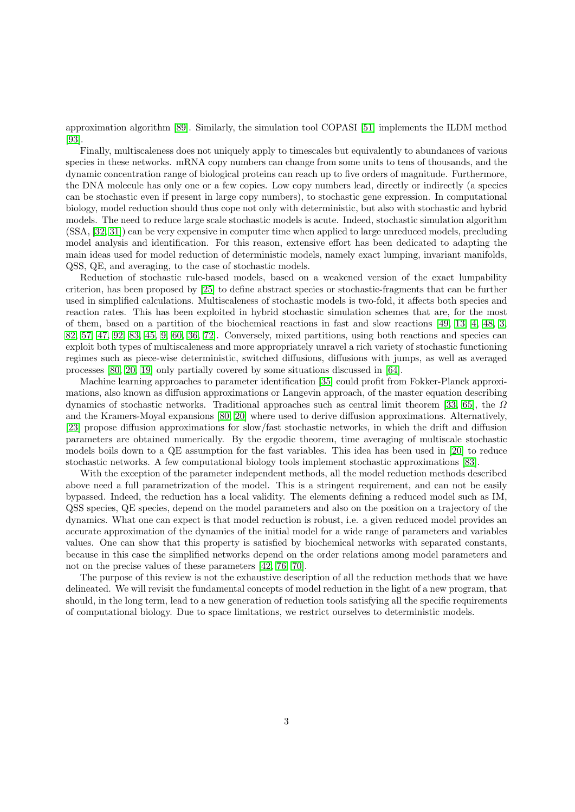approximation algorithm [\[89\]](#page-16-6). Similarly, the simulation tool COPASI [\[51\]](#page-14-7) implements the ILDM method [\[93\]](#page-16-7).

Finally, multiscaleness does not uniquely apply to timescales but equivalently to abundances of various species in these networks. mRNA copy numbers can change from some units to tens of thousands, and the dynamic concentration range of biological proteins can reach up to five orders of magnitude. Furthermore, the DNA molecule has only one or a few copies. Low copy numbers lead, directly or indirectly (a species can be stochastic even if present in large copy numbers), to stochastic gene expression. In computational biology, model reduction should thus cope not only with deterministic, but also with stochastic and hybrid models. The need to reduce large scale stochastic models is acute. Indeed, stochastic simulation algorithm (SSA, [\[32,](#page-13-8) [31\]](#page-13-9)) can be very expensive in computer time when applied to large unreduced models, precluding model analysis and identification. For this reason, extensive effort has been dedicated to adapting the main ideas used for model reduction of deterministic models, namely exact lumping, invariant manifolds, QSS, QE, and averaging, to the case of stochastic models.

Reduction of stochastic rule-based models, based on a weakened version of the exact lumpability criterion, has been proposed by [\[25\]](#page-12-10) to define abstract species or stochastic-fragments that can be further used in simplified calculations. Multiscaleness of stochastic models is two-fold, it affects both species and reaction rates. This has been exploited in hybrid stochastic simulation schemes that are, for the most of them, based on a partition of the biochemical reactions in fast and slow reactions [\[49,](#page-14-8) [13,](#page-12-11) [4,](#page-11-5) [48,](#page-14-9) [3,](#page-11-6) [82,](#page-16-8) [57,](#page-14-10) [47,](#page-14-11) [92,](#page-16-9) [83,](#page-16-10) [45,](#page-14-12) [9,](#page-11-7) [60,](#page-14-13) [36,](#page-13-10) [72\]](#page-15-7). Conversely, mixed partitions, using both reactions and species can exploit both types of multiscaleness and more appropriately unravel a rich variety of stochastic functioning regimes such as piece-wise deterministic, switched diffusions, diffusions with jumps, as well as averaged processes [\[80,](#page-16-11) [20,](#page-12-12) [19\]](#page-12-13) only partially covered by some situations discussed in [\[64\]](#page-15-8).

Machine learning approaches to parameter identification [\[35\]](#page-13-11) could profit from Fokker-Planck approximations, also known as diffusion approximations or Langevin approach, of the master equation describing dynamics of stochastic networks. Traditional approaches such as central limit theorem [\[33,](#page-13-12) [65\]](#page-15-9), the  $\Omega$ and the Kramers-Moyal expansions [\[80,](#page-16-11) [20\]](#page-12-12) where used to derive diffusion approximations. Alternatively, [\[23\]](#page-12-14) propose diffusion approximations for slow/fast stochastic networks, in which the drift and diffusion parameters are obtained numerically. By the ergodic theorem, time averaging of multiscale stochastic models boils down to a QE assumption for the fast variables. This idea has been used in [\[20\]](#page-12-12) to reduce stochastic networks. A few computational biology tools implement stochastic approximations [\[83\]](#page-16-10).

With the exception of the parameter independent methods, all the model reduction methods described above need a full parametrization of the model. This is a stringent requirement, and can not be easily bypassed. Indeed, the reduction has a local validity. The elements defining a reduced model such as IM, QSS species, QE species, depend on the model parameters and also on the position on a trajectory of the dynamics. What one can expect is that model reduction is robust, i.e. a given reduced model provides an accurate approximation of the dynamics of the initial model for a wide range of parameters and variables values. One can show that this property is satisfied by biochemical networks with separated constants, because in this case the simplified networks depend on the order relations among model parameters and not on the precise values of these parameters [\[42,](#page-13-13) [76,](#page-15-10) [70\]](#page-15-11).

The purpose of this review is not the exhaustive description of all the reduction methods that we have delineated. We will revisit the fundamental concepts of model reduction in the light of a new program, that should, in the long term, lead to a new generation of reduction tools satisfying all the specific requirements of computational biology. Due to space limitations, we restrict ourselves to deterministic models.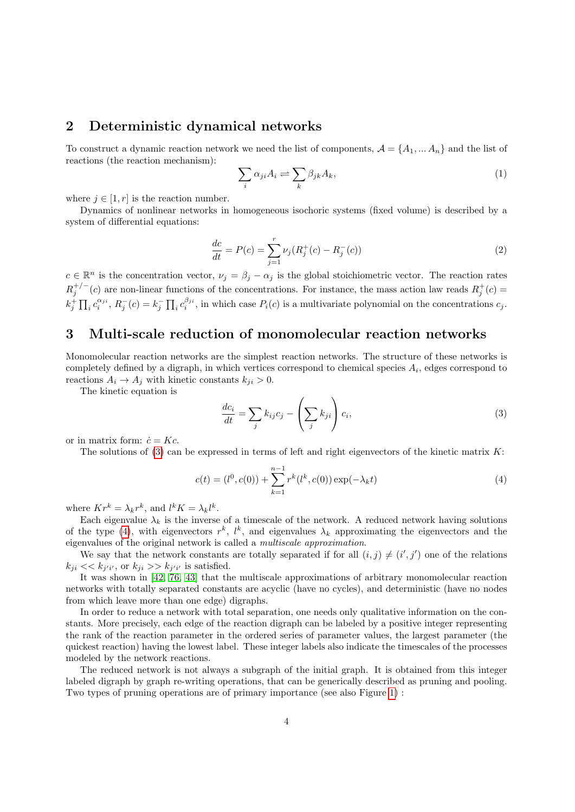#### 2 Deterministic dynamical networks

To construct a dynamic reaction network we need the list of components,  $\mathcal{A} = \{A_1, \dots A_n\}$  and the list of reactions (the reaction mechanism):

$$
\sum_{i} \alpha_{ji} A_i \rightleftharpoons \sum_{k} \beta_{jk} A_k,
$$
\n(1)

where  $j \in [1, r]$  is the reaction number.

Dynamics of nonlinear networks in homogeneous isochoric systems (fixed volume) is described by a system of differential equations:

<span id="page-3-2"></span>
$$
\frac{dc}{dt} = P(c) = \sum_{j=1}^{r} \nu_j (R_j^+(c) - R_j^-(c))
$$
\n(2)

 $c \in \mathbb{R}^n$  is the concentration vector,  $\nu_j = \beta_j - \alpha_j$  is the global stoichiometric vector. The reaction rates  $R_j^{+/-}(c)$  are non-linear functions of the concentrations. For instance, the mass action law reads  $R_j^+(c)$  $k_j^+ \prod_i c_i^{\alpha_{ji}}, R_j^-(c) = k_j^- \prod_i c_i^{\beta_{ji}},$  in which case  $P_i(c)$  is a multivariate polynomial on the concentrations  $c_j$ .

### 3 Multi-scale reduction of monomolecular reaction networks

Monomolecular reaction networks are the simplest reaction networks. The structure of these networks is completely defined by a digraph, in which vertices correspond to chemical species  $A_i$ , edges correspond to reactions  $A_i \rightarrow A_j$  with kinetic constants  $k_{ji} > 0$ .

The kinetic equation is

<span id="page-3-0"></span>
$$
\frac{dc_i}{dt} = \sum_j k_{ij}c_j - \left(\sum_j k_{ji}\right)c_i,\tag{3}
$$

or in matrix form:  $\dot{c} = Kc$ .

The solutions of [\(3\)](#page-3-0) can be expressed in terms of left and right eigenvectors of the kinetic matrix  $K$ :

<span id="page-3-1"></span>
$$
c(t) = (l0, c(0)) + \sum_{k=1}^{n-1} rk(lk, c(0)) \exp(-\lambda_k t)
$$
 (4)

where  $Kr^k = \lambda_k r^k$ , and  $l^k K = \lambda_k l^k$ .

Each eigenvalue  $\lambda_k$  is the inverse of a timescale of the network. A reduced network having solutions of the type [\(4\)](#page-3-1), with eigenvectors  $r^k$ ,  $l^k$ , and eigenvalues  $\lambda_k$  approximating the eigenvectors and the eigenvalues of the original network is called a multiscale approximation.

We say that the network constants are totally separated if for all  $(i, j) \neq (i', j')$  one of the relations  $k_{ji} \ll k_{j'i'}$ , or  $k_{ji} \gg k_{j'i'}$  is satisfied.

It was shown in [\[42,](#page-13-13) [76,](#page-15-10) [43\]](#page-13-14) that the multiscale approximations of arbitrary monomolecular reaction networks with totally separated constants are acyclic (have no cycles), and deterministic (have no nodes from which leave more than one edge) digraphs.

In order to reduce a network with total separation, one needs only qualitative information on the constants. More precisely, each edge of the reaction digraph can be labeled by a positive integer representing the rank of the reaction parameter in the ordered series of parameter values, the largest parameter (the quickest reaction) having the lowest label. These integer labels also indicate the timescales of the processes modeled by the network reactions.

The reduced network is not always a subgraph of the initial graph. It is obtained from this integer labeled digraph by graph re-writing operations, that can be generically described as pruning and pooling. Two types of pruning operations are of primary importance (see also Figure [1\)](#page-21-0) :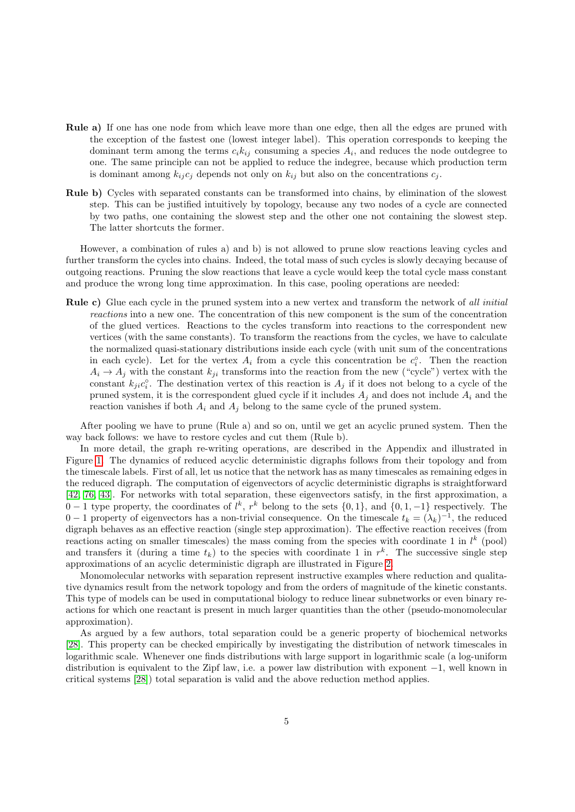- Rule a) If one has one node from which leave more than one edge, then all the edges are pruned with the exception of the fastest one (lowest integer label). This operation corresponds to keeping the dominant term among the terms  $c_i k_{ij}$  consuming a species  $A_i$ , and reduces the node outdegree to one. The same principle can not be applied to reduce the indegree, because which production term is dominant among  $k_{ij}c_j$  depends not only on  $k_{ij}$  but also on the concentrations  $c_j$ .
- Rule b) Cycles with separated constants can be transformed into chains, by elimination of the slowest step. This can be justified intuitively by topology, because any two nodes of a cycle are connected by two paths, one containing the slowest step and the other one not containing the slowest step. The latter shortcuts the former.

However, a combination of rules a) and b) is not allowed to prune slow reactions leaving cycles and further transform the cycles into chains. Indeed, the total mass of such cycles is slowly decaying because of outgoing reactions. Pruning the slow reactions that leave a cycle would keep the total cycle mass constant and produce the wrong long time approximation. In this case, pooling operations are needed:

Rule c) Glue each cycle in the pruned system into a new vertex and transform the network of all *initial* reactions into a new one. The concentration of this new component is the sum of the concentration of the glued vertices. Reactions to the cycles transform into reactions to the correspondent new vertices (with the same constants). To transform the reactions from the cycles, we have to calculate the normalized quasi-stationary distributions inside each cycle (with unit sum of the concentrations in each cycle). Let for the vertex  $A_i$  from a cycle this concentration be  $c_i^{\circ}$ . Then the reaction  $A_i \rightarrow A_j$  with the constant  $k_{ji}$  transforms into the reaction from the new ("cycle") vertex with the constant  $k_{ji}c_i^{\circ}$ . The destination vertex of this reaction is  $A_j$  if it does not belong to a cycle of the pruned system, it is the correspondent glued cycle if it includes  $A_j$  and does not include  $A_i$  and the reaction vanishes if both  $A_i$  and  $A_j$  belong to the same cycle of the pruned system.

After pooling we have to prune (Rule a) and so on, until we get an acyclic pruned system. Then the way back follows: we have to restore cycles and cut them (Rule b).

In more detail, the graph re-writing operations, are described in the Appendix and illustrated in Figure [1.](#page-21-0) The dynamics of reduced acyclic deterministic digraphs follows from their topology and from the timescale labels. First of all, let us notice that the network has as many timescales as remaining edges in the reduced digraph. The computation of eigenvectors of acyclic deterministic digraphs is straightforward [\[42,](#page-13-13) [76,](#page-15-10) [43\]](#page-13-14). For networks with total separation, these eigenvectors satisfy, in the first approximation, a  $0-1$  type property, the coordinates of  $l^k$ ,  $r^k$  belong to the sets  $\{0,1\}$ , and  $\{0,1,-1\}$  respectively. The 0 − 1 property of eigenvectors has a non-trivial consequence. On the timescale  $t_k = (\lambda_k)^{-1}$ , the reduced digraph behaves as an effective reaction (single step approximation). The effective reaction receives (from reactions acting on smaller timescales) the mass coming from the species with coordinate 1 in  $l^k$  (pool) and transfers it (during a time  $t_k$ ) to the species with coordinate 1 in  $r^k$ . The successive single step approximations of an acyclic deterministic digraph are illustrated in Figure [2.](#page-22-0)

Monomolecular networks with separation represent instructive examples where reduction and qualitative dynamics result from the network topology and from the orders of magnitude of the kinetic constants. This type of models can be used in computational biology to reduce linear subnetworks or even binary reactions for which one reactant is present in much larger quantities than the other (pseudo-monomolecular approximation).

As argued by a few authors, total separation could be a generic property of biochemical networks [\[28\]](#page-13-15). This property can be checked empirically by investigating the distribution of network timescales in logarithmic scale. Whenever one finds distributions with large support in logarithmic scale (a log-uniform distribution is equivalent to the Zipf law, i.e. a power law distribution with exponent −1, well known in critical systems [\[28\]](#page-13-15)) total separation is valid and the above reduction method applies.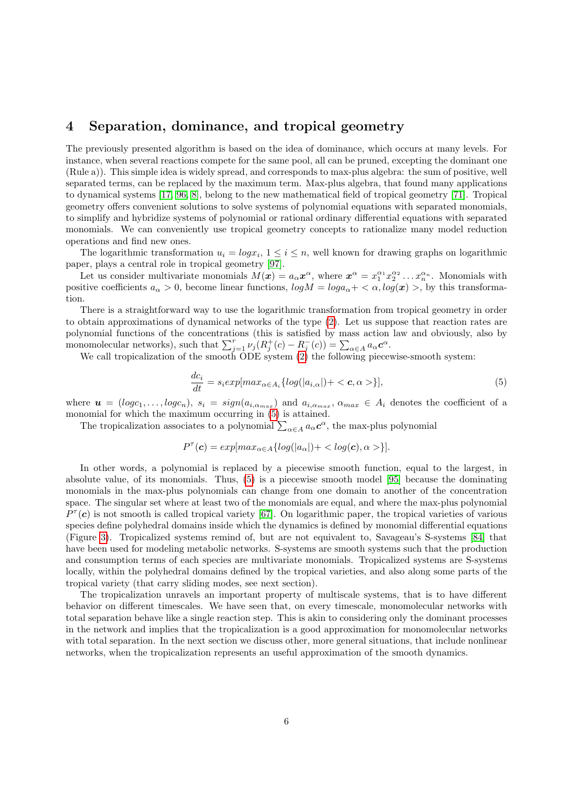### 4 Separation, dominance, and tropical geometry

The previously presented algorithm is based on the idea of dominance, which occurs at many levels. For instance, when several reactions compete for the same pool, all can be pruned, excepting the dominant one (Rule a)). This simple idea is widely spread, and corresponds to max-plus algebra: the sum of positive, well separated terms, can be replaced by the maximum term. Max-plus algebra, that found many applications to dynamical systems [\[17,](#page-12-15) [96,](#page-17-1) [8\]](#page-11-8), belong to the new mathematical field of tropical geometry [\[71\]](#page-15-12). Tropical geometry offers convenient solutions to solve systems of polynomial equations with separated monomials, to simplify and hybridize systems of polynomial or rational ordinary differential equations with separated monomials. We can conveniently use tropical geometry concepts to rationalize many model reduction operations and find new ones.

The logarithmic transformation  $u_i = log x_i$ ,  $1 \le i \le n$ , well known for drawing graphs on logarithmic paper, plays a central role in tropical geometry [\[97\]](#page-17-2).

Let us consider multivariate monomials  $M(\mathbf{x}) = a_{\alpha} \mathbf{x}^{\alpha}$ , where  $\mathbf{x}^{\alpha} = x_1^{\alpha_1} x_2^{\alpha_2} \dots x_n^{\alpha_n}$ . Monomials with positive coefficients  $a_{\alpha} > 0$ , become linear functions,  $log M = log a_{\alpha} + \langle \alpha, log(x) \rangle$ , by this transformation.

There is a straightforward way to use the logarithmic transformation from tropical geometry in order to obtain approximations of dynamical networks of the type [\(2\)](#page-3-2). Let us suppose that reaction rates are polynomial functions of the concentrations (this is satisfied by mass action law and obviously, also by monomolecular networks), such that  $\sum_{j=1}^{r} \nu_j (R_j^+(c) - R_j^-(c)) = \sum_{\alpha \in A} a_{\alpha} c^{\alpha}$ .

We call tropicalization of the smooth ODE system [\(2\)](#page-3-2) the following piecewise-smooth system:

<span id="page-5-0"></span>
$$
\frac{dc_i}{dt} = s_i exp[max_{\alpha \in A_i} \{log(|a_{i,\alpha}|) + \langle c, \alpha \rangle\}],\tag{5}
$$

where  $u = (log c_1, \ldots, log c_n)$ ,  $s_i = sign(a_{i, \alpha_{max}})$  and  $a_{i, \alpha_{max}}, \alpha_{max} \in A_i$  denotes the coefficient of a monomial for which the maximum occurring in [\(5\)](#page-5-0) is attained.

The tropicalization associates to a polynomial  $\sum_{\alpha \in A} a_{\alpha} c^{\alpha}$ , the max-plus polynomial

$$
P^{\tau}(\mathbf{c}) = exp[ max_{\alpha \in A} \{ log(|a_{\alpha}|) + \langle log(\mathbf{c}), \alpha \rangle \}].
$$

In other words, a polynomial is replaced by a piecewise smooth function, equal to the largest, in absolute value, of its monomials. Thus, [\(5\)](#page-5-0) is a piecewise smooth model [\[95\]](#page-16-12) because the dominating monomials in the max-plus polynomials can change from one domain to another of the concentration space. The singular set where at least two of the monomials are equal, and where the max-plus polynomial  $P^{\tau}(c)$  is not smooth is called tropical variety [\[67\]](#page-15-13). On logarithmic paper, the tropical varieties of various species define polyhedral domains inside which the dynamics is defined by monomial differential equations (Figure [3\)](#page-23-0). Tropicalized systems remind of, but are not equivalent to, Savageau's S-systems [\[84\]](#page-16-13) that have been used for modeling metabolic networks. S-systems are smooth systems such that the production and consumption terms of each species are multivariate monomials. Tropicalized systems are S-systems locally, within the polyhedral domains defined by the tropical varieties, and also along some parts of the tropical variety (that carry sliding modes, see next section).

The tropicalization unravels an important property of multiscale systems, that is to have different behavior on different timescales. We have seen that, on every timescale, monomolecular networks with total separation behave like a single reaction step. This is akin to considering only the dominant processes in the network and implies that the tropicalization is a good approximation for monomolecular networks with total separation. In the next section we discuss other, more general situations, that include nonlinear networks, when the tropicalization represents an useful approximation of the smooth dynamics.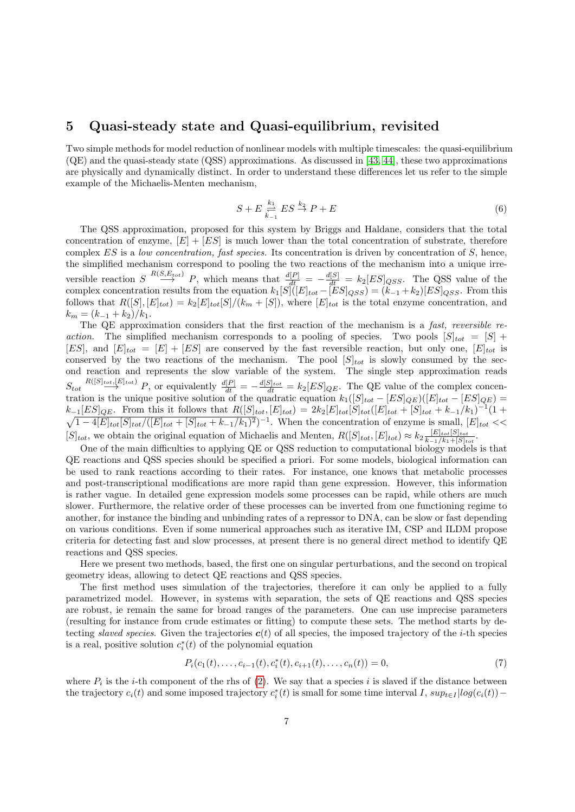#### 5 Quasi-steady state and Quasi-equilibrium, revisited

Two simple methods for model reduction of nonlinear models with multiple timescales: the quasi-equilibrium (QE) and the quasi-steady state (QSS) approximations. As discussed in [\[43,](#page-13-14) [44\]](#page-14-14), these two approximations are physically and dynamically distinct. In order to understand these differences let us refer to the simple example of the Michaelis-Menten mechanism,

$$
S + E \underset{k_{-1}}{\overset{k_1}{\rightleftharpoons}} ES \overset{k_2}{\rightarrow} P + E \tag{6}
$$

The QSS approximation, proposed for this system by Briggs and Haldane, considers that the total concentration of enzyme,  $[E] + [ES]$  is much lower than the total concentration of substrate, therefore complex  $ES$  is a low concentration, fast species. Its concentration is driven by concentration of  $S$ , hence, the simplified mechanism correspond to pooling the two reactions of the mechanism into a unique irreversible reaction  $S \stackrel{R(S, E_{tot})}{\longrightarrow} P$ , which means that  $\frac{d[P]}{dt} = -\frac{d[S]}{dt} = k_2 [ES]_{QSS}$ . The QSS value of the complex concentration results from the equation  $k_1[S]([E]_{tot} - [ES]_{QSS}) = (k_{-1} + k_2)[ES]_{QSS}$ . From this follows that  $R([S], [E]_{tot}) = k_2 [E]_{tot}[S]/(k_m + [S])$ , where  $[E]_{tot}$  is the total enzyme concentration, and  $k_m = (k_{-1} + k_2)/k_1.$ 

The QE approximation considers that the first reaction of the mechanism is a fast, reversible reaction. The simplified mechanism corresponds to a pooling of species. Two pools  $[S]_{tot} = [S]$  + [ES], and  $[E]_{tot} = [E] + [ES]$  are conserved by the fast reversible reaction, but only one,  $[E]_{tot}$  is conserved by the two reactions of the mechanism. The pool  $[S]_{tot}$  is slowly consumed by the second reaction and represents the slow variable of the system. The single step approximation reads  $S_{tot} \stackrel{R([S]_{tot},[E]_{tot})}{\longrightarrow} P$ , or equivalently  $\frac{d[P]}{dt} = -\frac{d[S]_{tot}}{dt} = k_2 [ES]_{QE}$ . The QE value of the complex concentration is the unique positive solution of the quadratic equation  $k_1([S]_{tot} - [ES]_{QE})([E]_{tot} - [ES]_{QE}) =$  $k_{-1}[ES]_{QE}$ . From this it follows that  $R([S]_{tot}, [E]_{tot}) = 2k_2[E]_{tot}[S]_{tot}([E]_{tot} + [S]_{tot} + k_{-1}/k_1)^{-1}$  $\sqrt{ }$  $(1 +$  $1-4[E]_{tot}[S]_{tot}/([E]_{tot}+[S]_{tot}+k_{-1}/k_1)^2)^{-1}$ . When the concentration of enzyme is small,  $[E]_{tot} <<$  $[S]_{tot}$ , we obtain the original equation of Michaelis and Menten,  $R([S]_{tot}, [E]_{tot}) \approx k_2 \frac{[E]_{tot}[S]_{tot}}{k_1 + [S]_{tot}}$  $\frac{[E]_{tot}[\mathcal{S}]_{tot}}{k_{-1}/k_{1}+[S]_{tot}}$ .

One of the main difficulties to applying QE or QSS reduction to computational biology models is that QE reactions and QSS species should be specified a priori. For some models, biological information can be used to rank reactions according to their rates. For instance, one knows that metabolic processes and post-transcriptional modifications are more rapid than gene expression. However, this information is rather vague. In detailed gene expression models some processes can be rapid, while others are much slower. Furthermore, the relative order of these processes can be inverted from one functioning regime to another, for instance the binding and unbinding rates of a repressor to DNA, can be slow or fast depending on various conditions. Even if some numerical approaches such as iterative IM, CSP and ILDM propose criteria for detecting fast and slow processes, at present there is no general direct method to identify QE reactions and QSS species.

Here we present two methods, based, the first one on singular perturbations, and the second on tropical geometry ideas, allowing to detect QE reactions and QSS species.

The first method uses simulation of the trajectories, therefore it can only be applied to a fully parametrized model. However, in systems with separation, the sets of QE reactions and QSS species are robust, ie remain the same for broad ranges of the parameters. One can use imprecise parameters (resulting for instance from crude estimates or fitting) to compute these sets. The method starts by detecting slaved species. Given the trajectories  $c(t)$  of all species, the imposed trajectory of the *i*-th species is a real, positive solution  $c_i^*(t)$  of the polynomial equation

<span id="page-6-0"></span>
$$
P_i(c_1(t),\ldots,c_{i-1}(t),c_i^*(t),c_{i+1}(t),\ldots,c_n(t))=0,
$$
\n(7)

where  $P_i$  is the *i*-th component of the rhs of [\(2\)](#page-3-2). We say that a species *i* is slaved if the distance between the trajectory  $c_i(t)$  and some imposed trajectory  $c_i^*(t)$  is small for some time interval I,  $sup_{t\in I} |log(c_i(t)) -$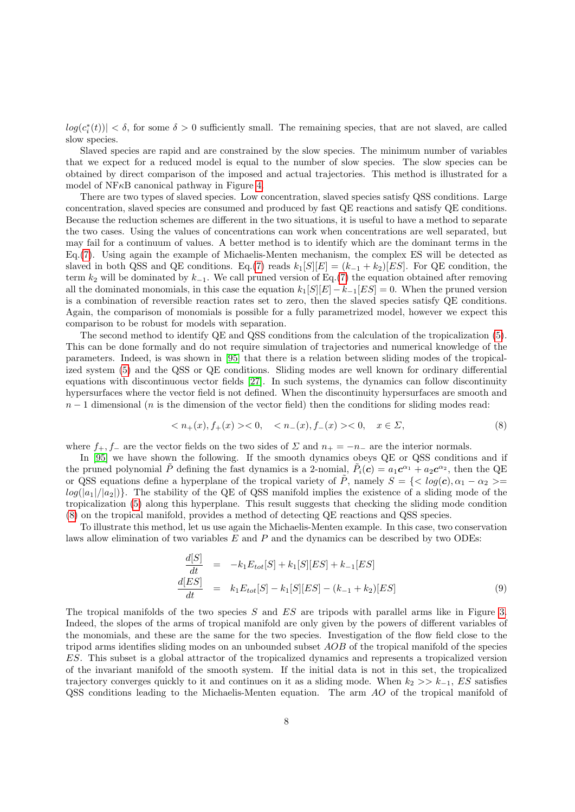$log(c_i^*(t)) < \delta$ , for some  $\delta > 0$  sufficiently small. The remaining species, that are not slaved, are called slow species.

Slaved species are rapid and are constrained by the slow species. The minimum number of variables that we expect for a reduced model is equal to the number of slow species. The slow species can be obtained by direct comparison of the imposed and actual trajectories. This method is illustrated for a model of  $NFRB$  canonical pathway in Figure [4.](#page-24-0)

There are two types of slaved species. Low concentration, slaved species satisfy QSS conditions. Large concentration, slaved species are consumed and produced by fast QE reactions and satisfy QE conditions. Because the reduction schemes are different in the two situations, it is useful to have a method to separate the two cases. Using the values of concentrations can work when concentrations are well separated, but may fail for a continuum of values. A better method is to identify which are the dominant terms in the Eq.[\(7\)](#page-6-0). Using again the example of Michaelis-Menten mechanism, the complex ES will be detected as slaved in both QSS and QE conditions. Eq.[\(7\)](#page-6-0) reads  $k_1[S][E] = (k_{-1} + k_2)[ES]$ . For QE condition, the term  $k_2$  will be dominated by  $k_{-1}$ . We call pruned version of Eq.[\(7\)](#page-6-0) the equation obtained after removing all the dominated monomials, in this case the equation  $k_1[S][E] - k_{-1}[ES] = 0$ . When the pruned version is a combination of reversible reaction rates set to zero, then the slaved species satisfy QE conditions. Again, the comparison of monomials is possible for a fully parametrized model, however we expect this comparison to be robust for models with separation.

The second method to identify QE and QSS conditions from the calculation of the tropicalization [\(5\)](#page-5-0). This can be done formally and do not require simulation of trajectories and numerical knowledge of the parameters. Indeed, is was shown in [\[95\]](#page-16-12) that there is a relation between sliding modes of the tropicalized system [\(5\)](#page-5-0) and the QSS or QE conditions. Sliding modes are well known for ordinary differential equations with discontinuous vector fields [\[27\]](#page-13-16). In such systems, the dynamics can follow discontinuity hypersurfaces where the vector field is not defined. When the discontinuity hypersurfaces are smooth and  $n-1$  dimensional (n is the dimension of the vector field) then the conditions for sliding modes read:

<span id="page-7-0"></span>
$$
\langle n_{+}(x), f_{+}(x) \rangle 0, \quad \langle n_{-}(x), f_{-}(x) \rangle 0, \quad x \in \Sigma, \tag{8}
$$

where  $f_+, f_-$  are the vector fields on the two sides of  $\Sigma$  and  $n_+ = -n_-$  are the interior normals.

 $\overline{\mathcal{L}}$ 

In [\[95\]](#page-16-12) we have shown the following. If the smooth dynamics obeys QE or QSS conditions and if the pruned polynomial  $\tilde{P}$  defining the fast dynamics is a 2-nomial,  $\tilde{P}_i(c) = a_1 c^{\alpha_1} + a_2 c^{\alpha_2}$ , then the QE or QSS equations define a hyperplane of the tropical variety of  $\tilde{P}$ , namely  $S = \{ \langle log(c), \alpha_1 - \alpha_2 \rangle =$  $log(|a_1|/|a_2|)$ . The stability of the QE of QSS manifold implies the existence of a sliding mode of the tropicalization [\(5\)](#page-5-0) along this hyperplane. This result suggests that checking the sliding mode condition [\(8\)](#page-7-0) on the tropical manifold, provides a method of detecting QE reactions and QSS species.

To illustrate this method, let us use again the Michaelis-Menten example. In this case, two conservation laws allow elimination of two variables  $E$  and  $P$  and the dynamics can be described by two ODEs:

$$
\begin{aligned}\n\frac{d[S]}{dt} &= -k_1 E_{tot}[S] + k_1[S][ES] + k_{-1}[ES] \\
\frac{d[ES]}{dt} &= k_1 E_{tot}[S] - k_1[S][ES] - (k_{-1} + k_2)[ES]\n\end{aligned} \tag{9}
$$

The tropical manifolds of the two species S and ES are tripods with parallel arms like in Figure [3.](#page-23-0) Indeed, the slopes of the arms of tropical manifold are only given by the powers of different variables of the monomials, and these are the same for the two species. Investigation of the flow field close to the tripod arms identifies sliding modes on an unbounded subset AOB of the tropical manifold of the species ES. This subset is a global attractor of the tropicalized dynamics and represents a tropicalized version of the invariant manifold of the smooth system. If the initial data is not in this set, the tropicalized trajectory converges quickly to it and continues on it as a sliding mode. When  $k_2 >> k_{-1}$ , ES satisfies QSS conditions leading to the Michaelis-Menten equation. The arm AO of the tropical manifold of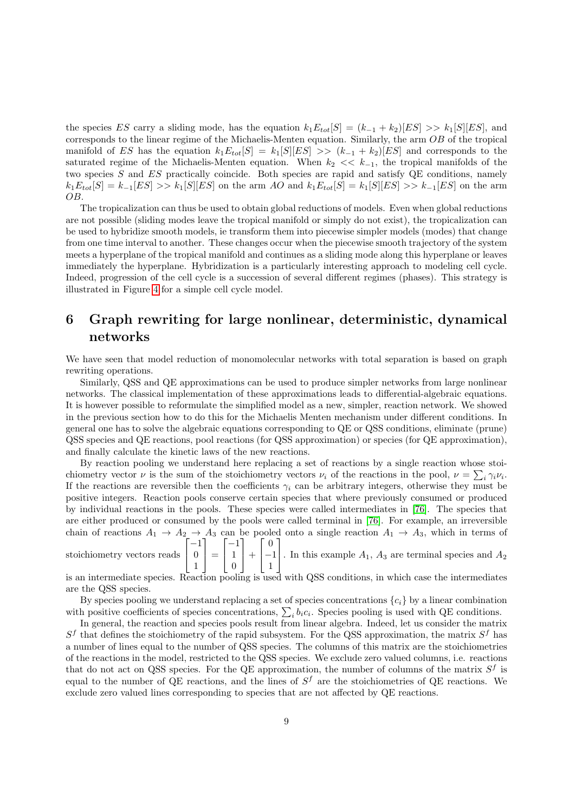the species ES carry a sliding mode, has the equation  $k_1E_{tot}[S] = (k_{-1} + k_2)[ES] >> k_1[S][ES]$ , and corresponds to the linear regime of the Michaelis-Menten equation. Similarly, the arm OB of the tropical manifold of ES has the equation  $k_1E_{tot}[S] = k_1[S][ES] \gg (k_{-1} + k_2)[ES]$  and corresponds to the saturated regime of the Michaelis-Menten equation. When  $k_2 \ll k_{-1}$ , the tropical manifolds of the two species S and ES practically coincide. Both species are rapid and satisfy QE conditions, namely  $k_1E_{tot}[S] = k_{-1}[ES] >> k_1[S][ES]$  on the arm AO and  $k_1E_{tot}[S] = k_1[S][ES] >> k_{-1}[ES]$  on the arm OB.

The tropicalization can thus be used to obtain global reductions of models. Even when global reductions are not possible (sliding modes leave the tropical manifold or simply do not exist), the tropicalization can be used to hybridize smooth models, ie transform them into piecewise simpler models (modes) that change from one time interval to another. These changes occur when the piecewise smooth trajectory of the system meets a hyperplane of the tropical manifold and continues as a sliding mode along this hyperplane or leaves immediately the hyperplane. Hybridization is a particularly interesting approach to modeling cell cycle. Indeed, progression of the cell cycle is a succession of several different regimes (phases). This strategy is illustrated in Figure [4](#page-24-0) for a simple cell cycle model.

# 6 Graph rewriting for large nonlinear, deterministic, dynamical networks

We have seen that model reduction of monomolecular networks with total separation is based on graph rewriting operations.

Similarly, QSS and QE approximations can be used to produce simpler networks from large nonlinear networks. The classical implementation of these approximations leads to differential-algebraic equations. It is however possible to reformulate the simplified model as a new, simpler, reaction network. We showed in the previous section how to do this for the Michaelis Menten mechanism under different conditions. In general one has to solve the algebraic equations corresponding to QE or QSS conditions, eliminate (prune) QSS species and QE reactions, pool reactions (for QSS approximation) or species (for QE approximation), and finally calculate the kinetic laws of the new reactions.

By reaction pooling we understand here replacing a set of reactions by a single reaction whose stoichiometry vector  $\nu$  is the sum of the stoichiometry vectors  $\nu_i$  of the reactions in the pool,  $\nu = \sum_i \gamma_i \nu_i$ . If the reactions are reversible then the coefficients  $\gamma_i$  can be arbitrary integers, otherwise they must be positive integers. Reaction pools conserve certain species that where previously consumed or produced by individual reactions in the pools. These species were called intermediates in [\[76\]](#page-15-10). The species that are either produced or consumed by the pools were called terminal in [\[76\]](#page-15-10). For example, an irreversible chain of reactions  $A_1 \rightarrow A_2 \rightarrow A_3$  can be pooled onto a single reaction  $A_1 \rightarrow A_3$ , which in terms of  $\lceil$  $-1$ 1  $\sqrt{ }$  $-1$ 1  $\sqrt{ }$  $\boldsymbol{0}$ 1

stoichiometry vectors reads  $\overline{\phantom{a}}$  $\boldsymbol{0}$ 1  $\Big| =$  $\overline{\phantom{a}}$ 1 0  $| +$  $\overline{\phantom{a}}$ −1 1 . In this example  $A_1$ ,  $A_3$  are terminal species and  $A_2$ 

is an intermediate species. Reaction pooling is used with QSS conditions, in which case the intermediates are the QSS species.

By species pooling we understand replacing a set of species concentrations  $\{c_i\}$  by a linear combination with positive coefficients of species concentrations,  $\sum_i b_i c_i$ . Species pooling is used with QE conditions.

In general, the reaction and species pools result from linear algebra. Indeed, let us consider the matrix  $S<sup>f</sup>$  that defines the stoichiometry of the rapid subsystem. For the QSS approximation, the matrix  $S<sup>f</sup>$  has a number of lines equal to the number of QSS species. The columns of this matrix are the stoichiometries of the reactions in the model, restricted to the QSS species. We exclude zero valued columns, i.e. reactions that do not act on QSS species. For the QE approximation, the number of columns of the matrix  $S^f$  is equal to the number of QE reactions, and the lines of  $S^f$  are the stoichiometries of QE reactions. We exclude zero valued lines corresponding to species that are not affected by QE reactions.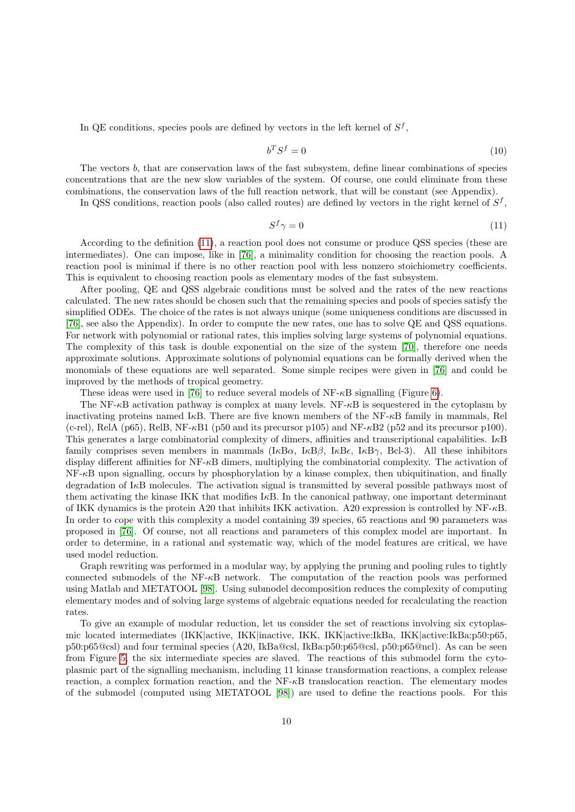In QE conditions, species pools are defined by vectors in the left kernel of  $S^f$ ,

$$
b^T S^f = 0 \tag{10}
$$

The vectors b, that are conservation laws of the fast subsystem, define linear combinations of species concentrations that are the new slow variables of the system. Of course, one could eliminate from these combinations, the conservation laws of the full reaction network, that will be constant (see Appendix).

In QSS conditions, reaction pools (also called routes) are defined by vectors in the right kernel of  $S^f$ ,

<span id="page-9-0"></span>
$$
S^f \gamma = 0 \tag{11}
$$

According to the definition [\(11\)](#page-9-0), a reaction pool does not consume or produce QSS species (these are intermediates). One can impose, like in [\[76\]](#page-15-10), a minimality condition for choosing the reaction pools. A reaction pool is minimal if there is no other reaction pool with less nonzero stoichiometry coefficients. This is equivalent to choosing reaction pools as elementary modes of the fast subsystem.

After pooling, QE and QSS algebraic conditions must be solved and the rates of the new reactions calculated. The new rates should be chosen such that the remaining species and pools of species satisfy the simplified ODEs. The choice of the rates is not always unique (some uniqueness conditions are discussed in [\[76\]](#page-15-10), see also the Appendix). In order to compute the new rates, one has to solve QE and QSS equations. For network with polynomial or rational rates, this implies solving large systems of polynomial equations. The complexity of this task is double exponential on the size of the system [\[70\]](#page-15-11), therefore one needs approximate solutions. Approximate solutions of polynomial equations can be formally derived when the monomials of these equations are well separated. Some simple recipes were given in [\[76\]](#page-15-10) and could be improved by the methods of tropical geometry.

These ideas were used in [\[76\]](#page-15-10) to reduce several models of  $NF-\kappa B$  signalling (Figure [6\)](#page-26-0).

The NF- $\kappa$ B activation pathway is complex at many levels. NF- $\kappa$ B is sequestered in the cytoplasm by inactivating proteins named I<sub>KB</sub>. There are five known members of the NF- $\kappa$ B family in mammals, Rel (c-rel), RelA (p65), RelB, NF- $\kappa$ B1 (p50 and its precursor p105) and NF- $\kappa$ B2 (p52 and its precursor p100). This generates a large combinatorial complexity of dimers, affinities and transcriptional capabilities. IκB family comprises seven members in mammals  $(I\kappa B\alpha, I\kappa B\beta, I\kappa B\epsilon, I\kappa B\gamma, B\epsilon I\epsilon)$ . All these inhibitors display different affinities for  $NF-\kappa B$  dimers, multiplying the combinatorial complexity. The activation of  $NF-\kappa B$  upon signalling, occurs by phosphorylation by a kinase complex, then ubiquitination, and finally degradation of  $I\kappa B$  molecules. The activation signal is transmitted by several possible pathways most of them activating the kinase IKK that modifies IκB. In the canonical pathway, one important determinant of IKK dynamics is the protein A20 that inhibits IKK activation. A20 expression is controlled by NF-κB. In order to cope with this complexity a model containing 39 species, 65 reactions and 90 parameters was proposed in [\[76\]](#page-15-10). Of course, not all reactions and parameters of this complex model are important. In order to determine, in a rational and systematic way, which of the model features are critical, we have used model reduction.

Graph rewriting was performed in a modular way, by applying the pruning and pooling rules to tightly connected submodels of the NF- $\kappa$ B network. The computation of the reaction pools was performed using Matlab and METATOOL [\[98\]](#page-17-3). Using submodel decomposition reduces the complexity of computing elementary modes and of solving large systems of algebraic equations needed for recalculating the reaction rates.

To give an example of modular reduction, let us consider the set of reactions involving six cytoplasmic located intermediates (IKK|active, IKK|inactive, IKK, IKK|active:IkBa, IKK|active:IkBa:p50:p65, p50:p65@csl) and four terminal species (A20, IkBa@csl, IkBa:p50:p65@csl, p50:p65@ncl). As can be seen from Figure [5,](#page-25-0) the six intermediate species are slaved. The reactions of this submodel form the cytoplasmic part of the signalling mechanism, including 11 kinase transformation reactions, a complex release reaction, a complex formation reaction, and the NF-κB translocation reaction. The elementary modes of the submodel (computed using METATOOL [\[98\]](#page-17-3)) are used to define the reactions pools. For this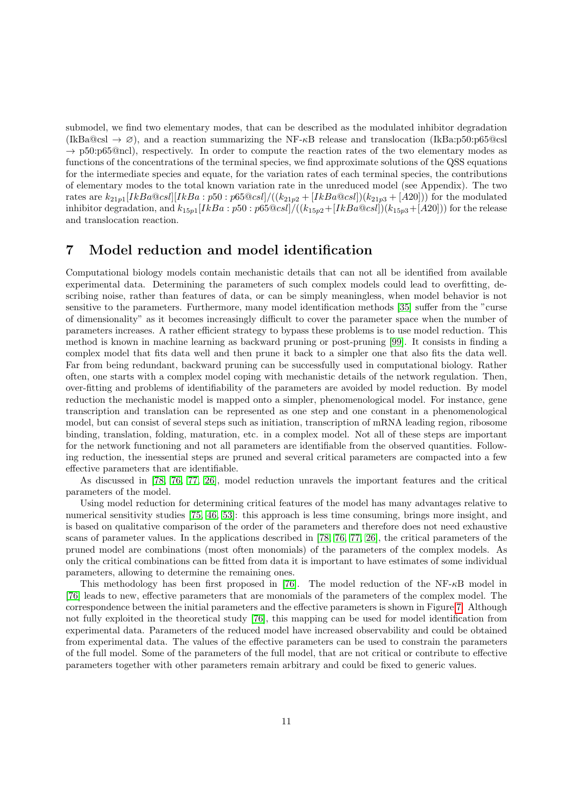submodel, we find two elementary modes, that can be described as the modulated inhibitor degradation  $(IkBa@csl \rightarrow \varnothing)$ , and a reaction summarizing the NF- $\kappa$ B release and translocation (IkBa:p50:p65@csl  $\rightarrow$  p50:p65@ncl), respectively. In order to compute the reaction rates of the two elementary modes as functions of the concentrations of the terminal species, we find approximate solutions of the QSS equations for the intermediate species and equate, for the variation rates of each terminal species, the contributions of elementary modes to the total known variation rate in the unreduced model (see Appendix). The two rates are  $k_{21p1}[IkBa@cs!]][IkBa:p50:p65@cs!]/((k_{21p2}+[IkBa@cs!])(k_{21p3}+[A20]))$  for the modulated inhibitor degradation, and  $k_{15p1}[IkBa:p50:p65@csl]/((k_{15p2}+[IkBa@csl])(k_{15p3}+[A20]))$  for the release and translocation reaction.

### 7 Model reduction and model identification

Computational biology models contain mechanistic details that can not all be identified from available experimental data. Determining the parameters of such complex models could lead to overfitting, describing noise, rather than features of data, or can be simply meaningless, when model behavior is not sensitive to the parameters. Furthermore, many model identification methods [\[35\]](#page-13-11) suffer from the "curse of dimensionality" as it becomes increasingly difficult to cover the parameter space when the number of parameters increases. A rather efficient strategy to bypass these problems is to use model reduction. This method is known in machine learning as backward pruning or post-pruning [\[99\]](#page-17-4). It consists in finding a complex model that fits data well and then prune it back to a simpler one that also fits the data well. Far from being redundant, backward pruning can be successfully used in computational biology. Rather often, one starts with a complex model coping with mechanistic details of the network regulation. Then, over-fitting and problems of identifiability of the parameters are avoided by model reduction. By model reduction the mechanistic model is mapped onto a simpler, phenomenological model. For instance, gene transcription and translation can be represented as one step and one constant in a phenomenological model, but can consist of several steps such as initiation, transcription of mRNA leading region, ribosome binding, translation, folding, maturation, etc. in a complex model. Not all of these steps are important for the network functioning and not all parameters are identifiable from the observed quantities. Following reduction, the inessential steps are pruned and several critical parameters are compacted into a few effective parameters that are identifiable.

As discussed in [\[78,](#page-15-14) [76,](#page-15-10) [77,](#page-15-15) [26\]](#page-13-17), model reduction unravels the important features and the critical parameters of the model.

Using model reduction for determining critical features of the model has many advantages relative to numerical sensitivity studies [\[75,](#page-15-16) [46,](#page-14-15) [53\]](#page-14-16): this approach is less time consuming, brings more insight, and is based on qualitative comparison of the order of the parameters and therefore does not need exhaustive scans of parameter values. In the applications described in [\[78,](#page-15-14) [76,](#page-15-10) [77,](#page-15-15) [26\]](#page-13-17), the critical parameters of the pruned model are combinations (most often monomials) of the parameters of the complex models. As only the critical combinations can be fitted from data it is important to have estimates of some individual parameters, allowing to determine the remaining ones.

This methodology has been first proposed in [\[76\]](#page-15-10). The model reduction of the  $NF-κB$  model in [\[76\]](#page-15-10) leads to new, effective parameters that are monomials of the parameters of the complex model. The correspondence between the initial parameters and the effective parameters is shown in Figure [7.](#page-27-0) Although not fully exploited in the theoretical study [\[76\]](#page-15-10), this mapping can be used for model identification from experimental data. Parameters of the reduced model have increased observability and could be obtained from experimental data. The values of the effective parameters can be used to constrain the parameters of the full model. Some of the parameters of the full model, that are not critical or contribute to effective parameters together with other parameters remain arbitrary and could be fixed to generic values.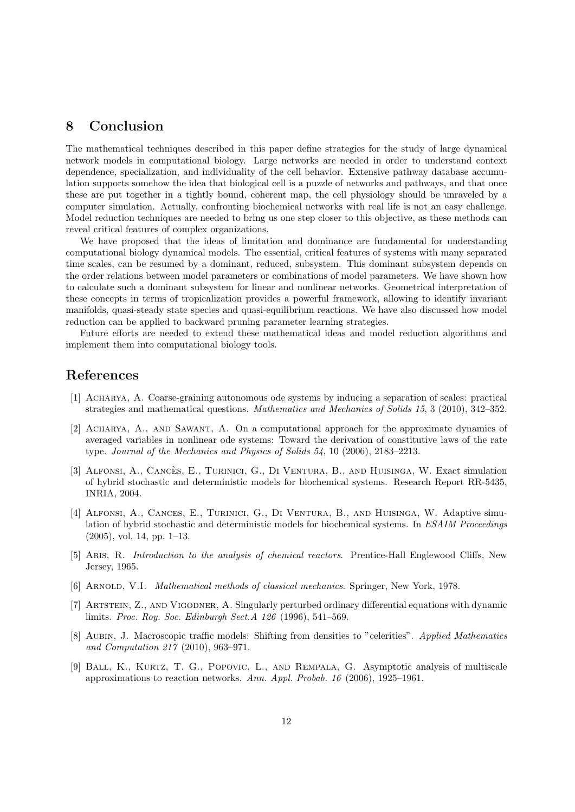## 8 Conclusion

The mathematical techniques described in this paper define strategies for the study of large dynamical network models in computational biology. Large networks are needed in order to understand context dependence, specialization, and individuality of the cell behavior. Extensive pathway database accumulation supports somehow the idea that biological cell is a puzzle of networks and pathways, and that once these are put together in a tightly bound, coherent map, the cell physiology should be unraveled by a computer simulation. Actually, confronting biochemical networks with real life is not an easy challenge. Model reduction techniques are needed to bring us one step closer to this objective, as these methods can reveal critical features of complex organizations.

We have proposed that the ideas of limitation and dominance are fundamental for understanding computational biology dynamical models. The essential, critical features of systems with many separated time scales, can be resumed by a dominant, reduced, subsystem. This dominant subsystem depends on the order relations between model parameters or combinations of model parameters. We have shown how to calculate such a dominant subsystem for linear and nonlinear networks. Geometrical interpretation of these concepts in terms of tropicalization provides a powerful framework, allowing to identify invariant manifolds, quasi-steady state species and quasi-equilibrium reactions. We have also discussed how model reduction can be applied to backward pruning parameter learning strategies.

Future efforts are needed to extend these mathematical ideas and model reduction algorithms and implement them into computational biology tools.

# References

- <span id="page-11-4"></span>[1] Acharya, A. Coarse-graining autonomous ode systems by inducing a separation of scales: practical strategies and mathematical questions. Mathematics and Mechanics of Solids 15, 3 (2010), 342–352.
- <span id="page-11-3"></span>[2] Acharya, A., and Sawant, A. On a computational approach for the approximate dynamics of averaged variables in nonlinear ode systems: Toward the derivation of constitutive laws of the rate type. Journal of the Mechanics and Physics of Solids 54, 10 (2006), 2183–2213.
- <span id="page-11-6"></span>[3] ALFONSI, A., CANCÈS, E., TURINICI, G., DI VENTURA, B., AND HUISINGA, W. Exact simulation of hybrid stochastic and deterministic models for biochemical systems. Research Report RR-5435, INRIA, 2004.
- <span id="page-11-5"></span>[4] Alfonsi, A., Cances, E., Turinici, G., Di Ventura, B., and Huisinga, W. Adaptive simulation of hybrid stochastic and deterministic models for biochemical systems. In ESAIM Proceedings (2005), vol. 14, pp. 1–13.
- <span id="page-11-0"></span>[5] ARIS, R. *Introduction to the analysis of chemical reactors.* Prentice-Hall Englewood Cliffs, New Jersey, 1965.
- <span id="page-11-1"></span>[6] Arnold, V.I. Mathematical methods of classical mechanics. Springer, New York, 1978.
- <span id="page-11-2"></span>[7] Artstein, Z., and Vigodner, A. Singularly perturbed ordinary differential equations with dynamic limits. Proc. Roy. Soc. Edinburgh Sect.A 126 (1996), 541–569.
- <span id="page-11-8"></span>[8] Aubin, J. Macroscopic traffic models: Shifting from densities to "celerities". Applied Mathematics and Computation 217 (2010), 963–971.
- <span id="page-11-7"></span>[9] Ball, K., Kurtz, T. G., Popovic, L., and Rempala, G. Asymptotic analysis of multiscale approximations to reaction networks. Ann. Appl. Probab. 16 (2006), 1925–1961.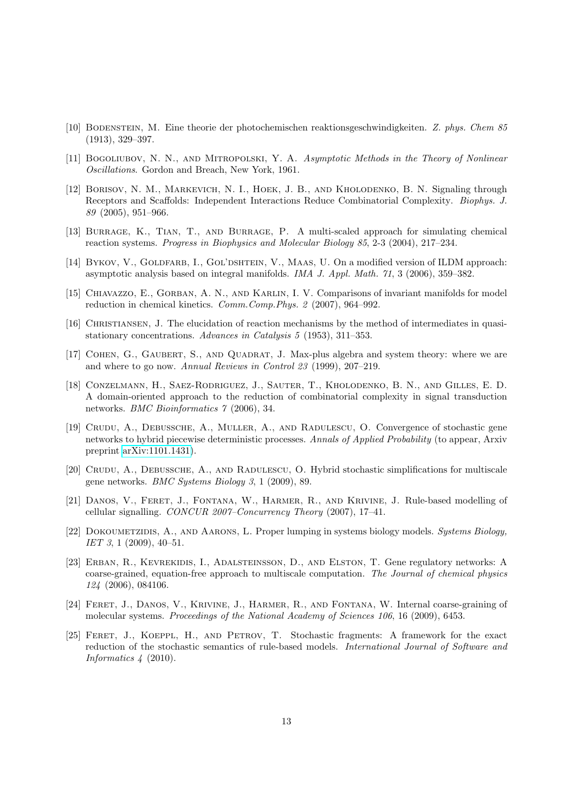- <span id="page-12-6"></span>[10] Bodenstein, M. Eine theorie der photochemischen reaktionsgeschwindigkeiten. Z. phys. Chem 85 (1913), 329–397.
- <span id="page-12-9"></span>[11] BOGOLIUBOV, N. N., AND MITROPOLSKI, Y. A. Asymptotic Methods in the Theory of Nonlinear Oscillations. Gordon and Breach, New York, 1961.
- <span id="page-12-0"></span>[12] Borisov, N. M., Markevich, N. I., Hoek, J. B., and Kholodenko, B. N. Signaling through Receptors and Scaffolds: Independent Interactions Reduce Combinatorial Complexity. Biophys. J. 89 (2005), 951–966.
- <span id="page-12-11"></span>[13] Burrage, K., Tian, T., and Burrage, P. A multi-scaled approach for simulating chemical reaction systems. Progress in Biophysics and Molecular Biology 85, 2-3 (2004), 217–234.
- <span id="page-12-8"></span>[14] BYKOV, V., GOLDFARB, I., GOL'DSHTEIN, V., MAAS, U. On a modified version of ILDM approach: asymptotic analysis based on integral manifolds. IMA J. Appl. Math. 71, 3 (2006), 359–382.
- <span id="page-12-5"></span>[15] CHIAVAZZO, E., GORBAN, A. N., AND KARLIN, I. V. Comparisons of invariant manifolds for model reduction in chemical kinetics. Comm.Comp.Phys. 2 (2007), 964–992.
- <span id="page-12-7"></span>[16] Christiansen, J. The elucidation of reaction mechanisms by the method of intermediates in quasistationary concentrations. Advances in Catalysis 5 (1953), 311–353.
- <span id="page-12-15"></span>[17] COHEN, G., GAUBERT, S., AND QUADRAT, J. Max-plus algebra and system theory: where we are and where to go now. Annual Reviews in Control 23 (1999), 207–219.
- <span id="page-12-1"></span>[18] Conzelmann, H., Saez-Rodriguez, J., Sauter, T., Kholodenko, B. N., and Gilles, E. D. A domain-oriented approach to the reduction of combinatorial complexity in signal transduction networks. BMC Bioinformatics 7 (2006), 34.
- <span id="page-12-13"></span>[19] Crudu, A., Debussche, A., Muller, A., and Radulescu, O. Convergence of stochastic gene networks to hybrid piecewise deterministic processes. Annals of Applied Probability (to appear, Arxiv preprint [arXiv:1101.1431\)](http://arxiv.org/abs/1101.1431).
- <span id="page-12-12"></span>[20] Crudu, A., Debussche, A., and Radulescu, O. Hybrid stochastic simplifications for multiscale gene networks. BMC Systems Biology 3, 1 (2009), 89.
- <span id="page-12-3"></span>[21] Danos, V., Feret, J., Fontana, W., Harmer, R., and Krivine, J. Rule-based modelling of cellular signalling. CONCUR 2007–Concurrency Theory (2007), 17–41.
- <span id="page-12-4"></span>[22] DOKOUMETZIDIS, A., AND AARONS, L. Proper lumping in systems biology models. Systems Biology, IET 3, 1 (2009), 40-51.
- <span id="page-12-14"></span>[23] Erban, R., Kevrekidis, I., Adalsteinsson, D., and Elston, T. Gene regulatory networks: A coarse-grained, equation-free approach to multiscale computation. The Journal of chemical physics 124 (2006), 084106.
- <span id="page-12-2"></span>[24] FERET, J., DANOS, V., KRIVINE, J., HARMER, R., AND FONTANA, W. Internal coarse-graining of molecular systems. Proceedings of the National Academy of Sciences 106, 16 (2009), 6453.
- <span id="page-12-10"></span>[25] Feret, J., Koeppl, H., and Petrov, T. Stochastic fragments: A framework for the exact reduction of the stochastic semantics of rule-based models. International Journal of Software and Informatics 4 (2010).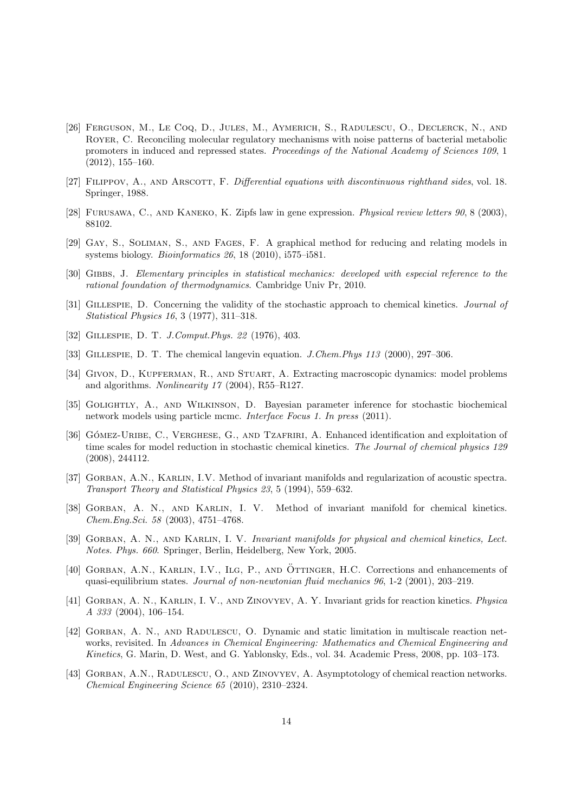- <span id="page-13-17"></span>[26] Ferguson, M., Le Coq, D., Jules, M., Aymerich, S., Radulescu, O., Declerck, N., and Royer, C. Reconciling molecular regulatory mechanisms with noise patterns of bacterial metabolic promoters in induced and repressed states. Proceedings of the National Academy of Sciences 109, 1 (2012), 155–160.
- <span id="page-13-16"></span>[27] FILIPPOV, A., AND ARSCOTT, F. Differential equations with discontinuous righthand sides, vol. 18. Springer, 1988.
- <span id="page-13-15"></span>[28] Furusawa, C., and Kaneko, K. Zipfs law in gene expression. Physical review letters 90, 8 (2003), 88102.
- <span id="page-13-0"></span>[29] Gay, S., Soliman, S., and Fages, F. A graphical method for reducing and relating models in systems biology. Bioinformatics 26, 18 (2010), i575–i581.
- <span id="page-13-5"></span>[30] Gibbs, J. Elementary principles in statistical mechanics: developed with especial reference to the rational foundation of thermodynamics. Cambridge Univ Pr, 2010.
- <span id="page-13-9"></span>[31] Gillespie, D. Concerning the validity of the stochastic approach to chemical kinetics. Journal of Statistical Physics 16, 3 (1977), 311–318.
- <span id="page-13-8"></span>[32] Gillespie, D. T. J.Comput.Phys. 22 (1976), 403.
- <span id="page-13-12"></span>[33] Gillespie, D. T. The chemical langevin equation. J.Chem.Phys 113 (2000), 297–306.
- <span id="page-13-7"></span>[34] Givon, D., Kupferman, R., and Stuart, A. Extracting macroscopic dynamics: model problems and algorithms. Nonlinearity 17 (2004), R55–R127.
- <span id="page-13-11"></span>[35] Golightly, A., and Wilkinson, D. Bayesian parameter inference for stochastic biochemical network models using particle mcmc. Interface Focus 1. In press (2011).
- <span id="page-13-10"></span>[36] GÓMEZ-URIBE, C., VERGHESE, G., AND TZAFRIRI, A. Enhanced identification and exploitation of time scales for model reduction in stochastic chemical kinetics. The Journal of chemical physics 129 (2008), 244112.
- <span id="page-13-1"></span>[37] GORBAN, A.N., KARLIN, I.V. Method of invariant manifolds and regularization of acoustic spectra. Transport Theory and Statistical Physics 23, 5 (1994), 559–632.
- <span id="page-13-2"></span>[38] GORBAN, A. N., AND KARLIN, I. V. Method of invariant manifold for chemical kinetics. Chem.Eng.Sci. 58 (2003), 4751–4768.
- <span id="page-13-3"></span>[39] GORBAN, A. N., AND KARLIN, I. V. Invariant manifolds for physical and chemical kinetics, Lect. Notes. Phys. 660. Springer, Berlin, Heidelberg, New York, 2005.
- <span id="page-13-6"></span>[40] GORBAN, A.N., KARLIN, I.V., ILG, P., AND ÖTTINGER, H.C. Corrections and enhancements of quasi-equilibrium states. Journal of non-newtonian fluid mechanics 96, 1-2 (2001), 203–219.
- <span id="page-13-4"></span>[41] GORBAN, A. N., KARLIN, I. V., AND ZINOVYEV, A. Y. Invariant grids for reaction kinetics. Physica A 333 (2004), 106–154.
- <span id="page-13-13"></span>[42] GORBAN, A. N., AND RADULESCU, O. Dynamic and static limitation in multiscale reaction networks, revisited. In Advances in Chemical Engineering: Mathematics and Chemical Engineering and Kinetics, G. Marin, D. West, and G. Yablonsky, Eds., vol. 34. Academic Press, 2008, pp. 103–173.
- <span id="page-13-14"></span>[43] GORBAN, A.N., RADULESCU, O., AND ZINOVYEV, A. Asymptotology of chemical reaction networks. Chemical Engineering Science 65 (2010), 2310–2324.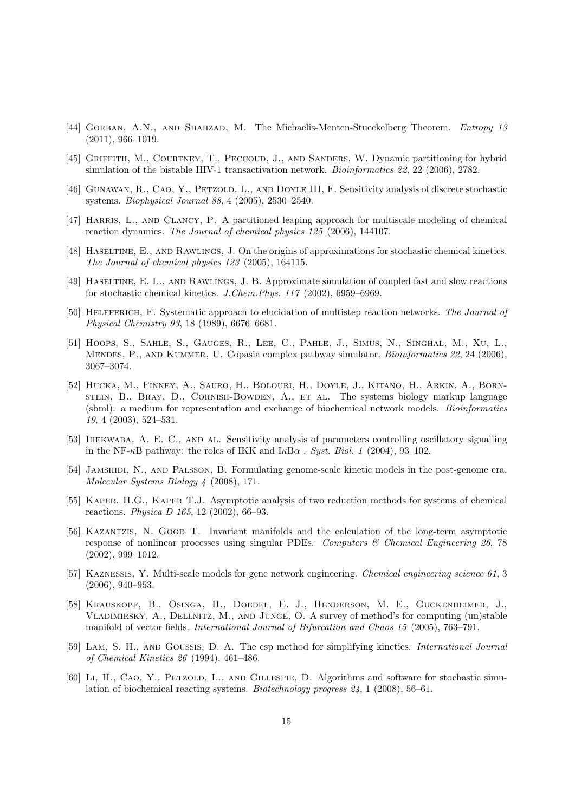- <span id="page-14-14"></span>[44] GORBAN, A.N., AND SHAHZAD, M. The Michaelis-Menten-Stueckelberg Theorem. Entropy 13 (2011), 966–1019.
- <span id="page-14-12"></span>[45] Griffith, M., Courtney, T., Peccoud, J., and Sanders, W. Dynamic partitioning for hybrid simulation of the bistable HIV-1 transactivation network. *Bioinformatics 22*, 22 (2006), 2782.
- <span id="page-14-15"></span>[46] Gunawan, R., Cao, Y., Petzold, L., and Doyle III, F. Sensitivity analysis of discrete stochastic systems. Biophysical Journal 88, 4 (2005), 2530–2540.
- <span id="page-14-11"></span>[47] HARRIS, L., AND CLANCY, P. A partitioned leaping approach for multiscale modeling of chemical reaction dynamics. The Journal of chemical physics 125 (2006), 144107.
- <span id="page-14-9"></span>[48] Haseltine, E., and Rawlings, J. On the origins of approximations for stochastic chemical kinetics. The Journal of chemical physics 123 (2005), 164115.
- <span id="page-14-8"></span>[49] Haseltine, E. L., and Rawlings, J. B. Approximate simulation of coupled fast and slow reactions for stochastic chemical kinetics. J.Chem.Phys. 117 (2002), 6959–6969.
- <span id="page-14-4"></span>[50] HELFFERICH, F. Systematic approach to elucidation of multistep reaction networks. The Journal of Physical Chemistry 93, 18 (1989), 6676–6681.
- <span id="page-14-7"></span>[51] Hoops, S., Sahle, S., Gauges, R., Lee, C., Pahle, J., Simus, N., Singhal, M., Xu, L., MENDES, P., AND KUMMER, U. Copasia complex pathway simulator. *Bioinformatics 22*, 24 (2006), 3067–3074.
- <span id="page-14-6"></span>[52] Hucka, M., Finney, A., Sauro, H., Bolouri, H., Doyle, J., Kitano, H., Arkin, A., Bornstein, B., Bray, D., Cornish-Bowden, A., et al. The systems biology markup language (sbml): a medium for representation and exchange of biochemical network models. Bioinformatics 19, 4 (2003), 524–531.
- <span id="page-14-16"></span>[53] Ihekwaba, A. E. C., and al. Sensitivity analysis of parameters controlling oscillatory signalling in the NF- $\kappa$ B pathway: the roles of IKK and  $I\kappa$ B $\alpha$ . Syst. Biol. 1 (2004), 93–102.
- <span id="page-14-0"></span>[54] Jamshidi, N., and Palsson, B. Formulating genome-scale kinetic models in the post-genome era. Molecular Systems Biology 4 (2008), 171.
- <span id="page-14-5"></span>[55] KAPER, H.G., KAPER T.J. Asymptotic analysis of two reduction methods for systems of chemical reactions. Physica D 165, 12 (2002), 66–93.
- <span id="page-14-2"></span>[56] Kazantzis, N. Good T. Invariant manifolds and the calculation of the long-term asymptotic response of nonlinear processes using singular PDEs. Computers  $\mathcal{C}$  Chemical Engineering 26, 78 (2002), 999–1012.
- <span id="page-14-10"></span>[57] Kaznessis, Y. Multi-scale models for gene network engineering. Chemical engineering science 61, 3 (2006), 940–953.
- <span id="page-14-3"></span>[58] Krauskopf, B., Osinga, H., Doedel, E. J., Henderson, M. E., Guckenheimer, J., Vladimirsky, A., Dellnitz, M., and Junge, O. A survey of method's for computing (un)stable manifold of vector fields. International Journal of Bifurcation and Chaos 15 (2005), 763–791.
- <span id="page-14-1"></span>[59] LAM, S. H., AND GOUSSIS, D. A. The csp method for simplifying kinetics. *International Journal* of Chemical Kinetics 26 (1994), 461–486.
- <span id="page-14-13"></span>[60] Li, H., CAO, Y., PETZOLD, L., AND GILLESPIE, D. Algorithms and software for stochastic simulation of biochemical reacting systems. Biotechnology progress 24, 1 (2008), 56–61.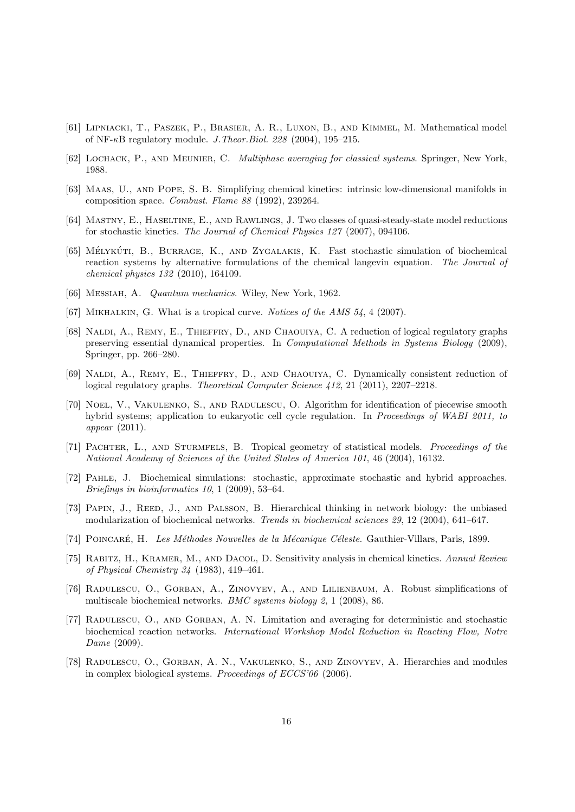- <span id="page-15-17"></span>[61] Lipniacki, T., Paszek, P., Brasier, A. R., Luxon, B., and Kimmel, M. Mathematical model of NF- $\kappa$ B regulatory module. *J. Theor. Biol.* 228 (2004), 195–215.
- <span id="page-15-5"></span>[62] LOCHACK, P., AND MEUNIER, C. *Multiphase averaging for classical systems*. Springer, New York, 1988.
- <span id="page-15-3"></span>[63] Maas, U., and Pope, S. B. Simplifying chemical kinetics: intrinsic low-dimensional manifolds in composition space. Combust. Flame 88 (1992), 239264.
- <span id="page-15-8"></span>[64] MASTNY, E., HASELTINE, E., AND RAWLINGS, J. Two classes of quasi-steady-state model reductions for stochastic kinetics. The Journal of Chemical Physics 127 (2007), 094106.
- <span id="page-15-9"></span>[65] MÉLYKÚTI, B., BURRAGE, K., AND ZYGALAKIS, K. Fast stochastic simulation of biochemical reaction systems by alternative formulations of the chemical langevin equation. The Journal of chemical physics 132 (2010), 164109.
- <span id="page-15-6"></span>[66] Messiah, A. Quantum mechanics. Wiley, New York, 1962.
- <span id="page-15-13"></span>[67] MIKHALKIN, G. What is a tropical curve. Notices of the AMS 54, 4 (2007).
- <span id="page-15-1"></span>[68] Naldi, A., Remy, E., Thieffry, D., and Chaouiya, C. A reduction of logical regulatory graphs preserving essential dynamical properties. In Computational Methods in Systems Biology (2009), Springer, pp. 266–280.
- <span id="page-15-2"></span>[69] NALDI, A., REMY, E., THIEFFRY, D., AND CHAOUIYA, C. Dynamically consistent reduction of logical regulatory graphs. Theoretical Computer Science 412, 21 (2011), 2207–2218.
- <span id="page-15-11"></span>[70] Noel, V., Vakulenko, S., and Radulescu, O. Algorithm for identification of piecewise smooth hybrid systems; application to eukaryotic cell cycle regulation. In Proceedings of WABI 2011, to appear (2011).
- <span id="page-15-12"></span>[71] PACHTER, L., AND STURMFELS, B. Tropical geometry of statistical models. Proceedings of the National Academy of Sciences of the United States of America 101, 46 (2004), 16132.
- <span id="page-15-7"></span>[72] Pahle, J. Biochemical simulations: stochastic, approximate stochastic and hybrid approaches. Briefings in bioinformatics 10, 1 (2009), 53–64.
- <span id="page-15-0"></span>[73] PAPIN, J., REED, J., AND PALSSON, B. Hierarchical thinking in network biology: the unbiased modularization of biochemical networks. Trends in biochemical sciences 29, 12 (2004), 641–647.
- <span id="page-15-4"></span>[74] POINCARÉ, H. Les Méthodes Nouvelles de la Mécanique Céleste. Gauthier-Villars, Paris, 1899.
- <span id="page-15-16"></span>[75] Rabitz, H., Kramer, M., and Dacol, D. Sensitivity analysis in chemical kinetics. Annual Review of Physical Chemistry 34 (1983), 419–461.
- <span id="page-15-10"></span>[76] Radulescu, O., Gorban, A., Zinovyev, A., and Lilienbaum, A. Robust simplifications of multiscale biochemical networks. BMC systems biology 2, 1 (2008), 86.
- <span id="page-15-15"></span>[77] Radulescu, O., and Gorban, A. N. Limitation and averaging for deterministic and stochastic biochemical reaction networks. International Workshop Model Reduction in Reacting Flow, Notre Dame (2009).
- <span id="page-15-14"></span>[78] Radulescu, O., Gorban, A. N., Vakulenko, S., and Zinovyev, A. Hierarchies and modules in complex biological systems. Proceedings of ECCS'06 (2006).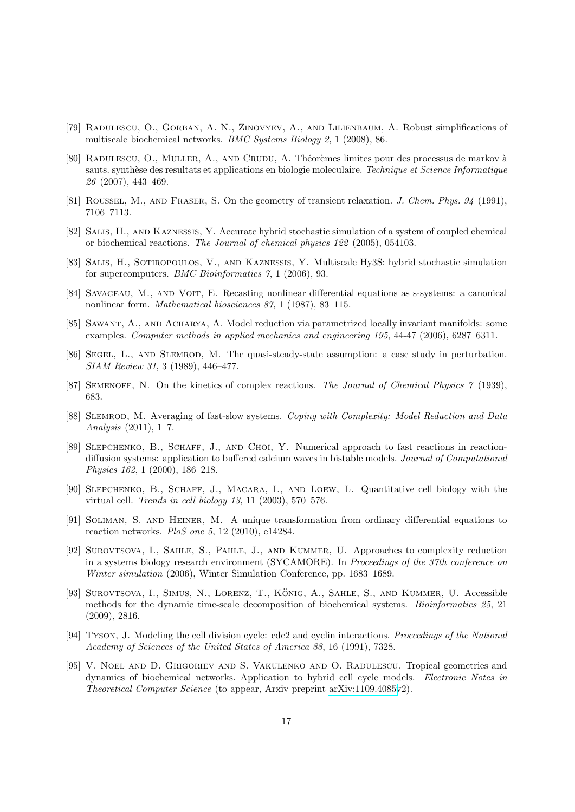- <span id="page-16-16"></span>[79] Radulescu, O., Gorban, A. N., Zinovyev, A., and Lilienbaum, A. Robust simplifications of multiscale biochemical networks. BMC Systems Biology 2, 1 (2008), 86.
- <span id="page-16-11"></span>[80] RADULESCU, O., MULLER, A., AND CRUDU, A. Théorèmes limites pour des processus de markov à sauts. synthèse des resultats et applications en biologie moleculaire. Technique et Science Informatique 26 (2007), 443–469.
- <span id="page-16-0"></span>[81] ROUSSEL, M., AND FRASER, S. On the geometry of transient relaxation. J. Chem. Phys. 94 (1991), 7106–7113.
- <span id="page-16-8"></span>[82] Salis, H., and Kaznessis, Y. Accurate hybrid stochastic simulation of a system of coupled chemical or biochemical reactions. The Journal of chemical physics 122 (2005), 054103.
- <span id="page-16-10"></span>[83] Salis, H., Sotiropoulos, V., and Kaznessis, Y. Multiscale Hy3S: hybrid stochastic simulation for supercomputers. BMC Bioinformatics 7, 1 (2006), 93.
- <span id="page-16-13"></span>[84] Savageau, M., and Voit, E. Recasting nonlinear differential equations as s-systems: a canonical nonlinear form. Mathematical biosciences 87, 1 (1987), 83–115.
- <span id="page-16-3"></span>[85] Sawant, A., and Acharya, A. Model reduction via parametrized locally invariant manifolds: some examples. Computer methods in applied mechanics and engineering 195, 44-47 (2006), 6287–6311.
- <span id="page-16-2"></span>[86] Segel, L., and Slemrod, M. The quasi-steady-state assumption: a case study in perturbation. SIAM Review 31, 3 (1989), 446–477.
- <span id="page-16-1"></span>[87] SEMENOFF, N. On the kinetics of complex reactions. The Journal of Chemical Physics 7 (1939), 683.
- <span id="page-16-4"></span>[88] SLEMROD, M. Averaging of fast-slow systems. Coping with Complexity: Model Reduction and Data Analysis (2011), 1–7.
- <span id="page-16-6"></span>[89] Slepchenko, B., Schaff, J., and Choi, Y. Numerical approach to fast reactions in reactiondiffusion systems: application to buffered calcium waves in bistable models. Journal of Computational Physics 162, 1 (2000), 186–218.
- <span id="page-16-5"></span>[90] Slepchenko, B., Schaff, J., Macara, I., and Loew, L. Quantitative cell biology with the virtual cell. Trends in cell biology 13, 11 (2003), 570–576.
- <span id="page-16-14"></span>[91] Soliman, S. and Heiner, M. A unique transformation from ordinary differential equations to reaction networks. PloS one 5, 12 (2010), e14284.
- <span id="page-16-9"></span>[92] Surovtsova, I., Sahle, S., Pahle, J., and Kummer, U. Approaches to complexity reduction in a systems biology research environment (SYCAMORE). In Proceedings of the 37th conference on Winter simulation (2006), Winter Simulation Conference, pp. 1683–1689.
- <span id="page-16-7"></span>[93] SUROVTSOVA, I., SIMUS, N., LORENZ, T., KÖNIG, A., SAHLE, S., AND KUMMER, U. Accessible methods for the dynamic time-scale decomposition of biochemical systems. Bioinformatics 25, 21 (2009), 2816.
- <span id="page-16-15"></span>[94] Tyson, J. Modeling the cell division cycle: cdc2 and cyclin interactions. Proceedings of the National Academy of Sciences of the United States of America 88, 16 (1991), 7328.
- <span id="page-16-12"></span>[95] V. Noel and D. Grigoriev and S. Vakulenko and O. Radulescu. Tropical geometries and dynamics of biochemical networks. Application to hybrid cell cycle models. Electronic Notes in Theoretical Computer Science (to appear, Arxiv preprint [arXiv:1109.4085v](http://arxiv.org/abs/1109.4085)2).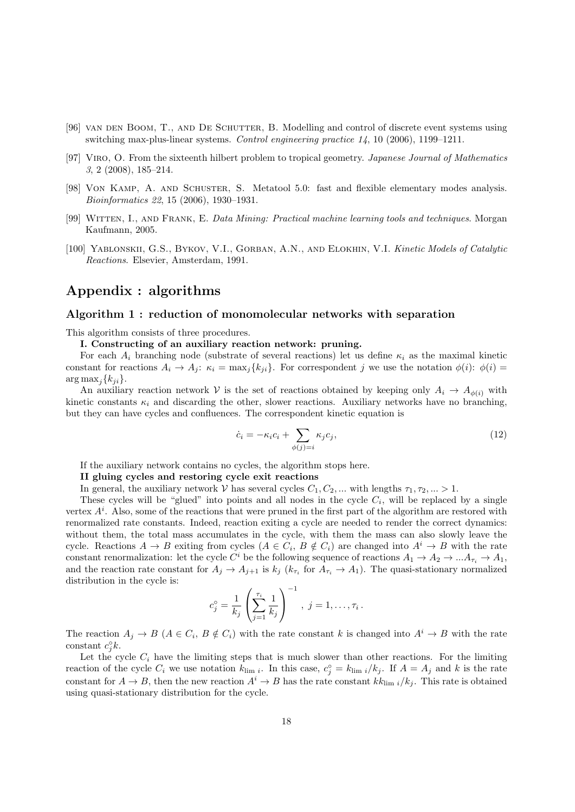- <span id="page-17-1"></span>[96] VAN DEN BOOM, T., AND DE SCHUTTER, B. Modelling and control of discrete event systems using switching max-plus-linear systems. Control engineering practice 14, 10 (2006), 1199–1211.
- <span id="page-17-2"></span>[97] Viro, O. From the sixteenth hilbert problem to tropical geometry. Japanese Journal of Mathematics 3, 2 (2008), 185–214.
- <span id="page-17-3"></span>[98] Von Kamp, A. and Schuster, S. Metatool 5.0: fast and flexible elementary modes analysis. Bioinformatics 22, 15 (2006), 1930–1931.
- <span id="page-17-4"></span>[99] Witten, I., and Frank, E. Data Mining: Practical machine learning tools and techniques. Morgan Kaufmann, 2005.
- <span id="page-17-0"></span>[100] Yablonskii, G.S., Bykov, V.I., Gorban, A.N., and Elokhin, V.I. Kinetic Models of Catalytic Reactions. Elsevier, Amsterdam, 1991.

# Appendix : algorithms

#### Algorithm 1 : reduction of monomolecular networks with separation

This algorithm consists of three procedures.

I. Constructing of an auxiliary reaction network: pruning.

For each  $A_i$  branching node (substrate of several reactions) let us define  $\kappa_i$  as the maximal kinetic constant for reactions  $A_i \to A_j$ :  $\kappa_i = \max_i \{k_{ii}\}\$ . For correspondent j we use the notation  $\phi(i)$ :  $\phi(i)$  $\arg \max_i \{k_{ii}\}.$ 

An auxiliary reaction network V is the set of reactions obtained by keeping only  $A_i \rightarrow A_{\phi(i)}$  with kinetic constants  $\kappa_i$  and discarding the other, slower reactions. Auxiliary networks have no branching, but they can have cycles and confluences. The correspondent kinetic equation is

$$
\dot{c}_i = -\kappa_i c_i + \sum_{\phi(j)=i} \kappa_j c_j,\tag{12}
$$

If the auxiliary network contains no cycles, the algorithm stops here.

#### II gluing cycles and restoring cycle exit reactions

In general, the auxiliary network V has several cycles  $C_1, C_2, ...$  with lengths  $\tau_1, \tau_2, ... > 1$ .

These cycles will be "glued" into points and all nodes in the cycle  $C_i$ , will be replaced by a single vertex  $A<sup>i</sup>$ . Also, some of the reactions that were pruned in the first part of the algorithm are restored with renormalized rate constants. Indeed, reaction exiting a cycle are needed to render the correct dynamics: without them, the total mass accumulates in the cycle, with them the mass can also slowly leave the cycle. Reactions  $A \to B$  exiting from cycles  $(A \in C_i, B \notin C_i)$  are changed into  $A^i \to B$  with the rate constant renormalization: let the cycle  $C^i$  be the following sequence of reactions  $A_1 \to A_2 \to ... A_{\tau_i} \to A_1$ , and the reaction rate constant for  $A_j \to A_{j+1}$  is  $k_j$  ( $k_{\tau_i}$  for  $A_{\tau_i} \to A_1$ ). The quasi-stationary normalized distribution in the cycle is:

$$
c_j^{\circ} = \frac{1}{k_j} \left( \sum_{j=1}^{\tau_i} \frac{1}{k_j} \right)^{-1}, \ j = 1, \dots, \tau_i.
$$

The reaction  $A_j \to B$   $(A \in C_i, B \notin C_i)$  with the rate constant k is changed into  $A^i \to B$  with the rate constant  $c_j^{\circ}k$ .

Let the cycle  $C_i$  have the limiting steps that is much slower than other reactions. For the limiting reaction of the cycle  $C_i$  we use notation  $k_{\text{lim }i}$ . In this case,  $c_j^{\circ} = k_{\text{lim }i}/k_j$ . If  $A = A_j$  and k is the rate constant for  $A \to B$ , then the new reaction  $A^i \to B$  has the rate constant  $kk_{\text{lim }i}/k_j$ . This rate is obtained using quasi-stationary distribution for the cycle.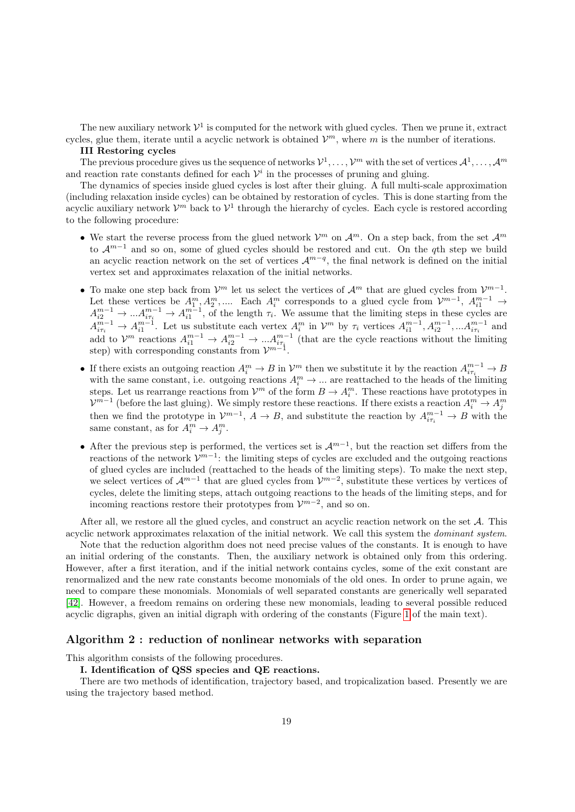The new auxiliary network  $\mathcal{V}^1$  is computed for the network with glued cycles. Then we prune it, extract cycles, glue them, iterate until a acyclic network is obtained  $\mathcal{V}^m$ , where m is the number of iterations.

#### III Restoring cycles

The previous procedure gives us the sequence of networks  $\mathcal{V}^1,\ldots,\mathcal{V}^m$  with the set of vertices  $\mathcal{A}^1,\ldots,\mathcal{A}^m$ and reaction rate constants defined for each  $\mathcal{V}^i$  in the processes of pruning and gluing.

The dynamics of species inside glued cycles is lost after their gluing. A full multi-scale approximation (including relaxation inside cycles) can be obtained by restoration of cycles. This is done starting from the acyclic auxiliary network  $\mathcal{V}^m$  back to  $\mathcal{V}^1$  through the hierarchy of cycles. Each cycle is restored according to the following procedure:

- We start the reverse process from the glued network  $\mathcal{V}^m$  on  $\mathcal{A}^m$ . On a step back, from the set  $\mathcal{A}^m$ to  $\mathcal{A}^{m-1}$  and so on, some of glued cycles should be restored and cut. On the qth step we build an acyclic reaction network on the set of vertices  $\mathcal{A}^{m-q}$ , the final network is defined on the initial vertex set and approximates relaxation of the initial networks.
- To make one step back from  $\mathcal{V}^m$  let us select the vertices of  $\mathcal{A}^m$  that are glued cycles from  $\mathcal{V}^{m-1}$ . Let these vertices be  $A_1^m, A_2^m, \dots$  Each  $A_i^m$  corresponds to a glued cycle from  $\mathcal{V}^{m-1}$ ,  $A_{i1}^{m-1}$   $\rightarrow$  $A_{i2}^{m-1} \to \ldots A_{i\tau_i}^{m-1} \to A_{i1}^{m-1}$ , of the length  $\tau_i$ . We assume that the limiting steps in these cycles are  $A^{m-1}_{i\tau_i} \to A^{m-1}_{i1}$ . Let us substitute each vertex  $A^m_i$  in  $\mathcal{V}^m$  by  $\tau_i$  vertices  $A^{m-1}_{i1}, A^{m-1}_{i2}, \dots, A^{m-1}_{i\tau_i}$  and add to  $\mathcal{V}^m$  reactions  $A_{i1}^{m-1} \to A_{i2}^{m-1} \to \ldots A_{i\tau_i}^{m-1}$  (that are the cycle reactions without the limiting step) with corresponding constants from  $\mathcal{V}^{m-1}$ .
- If there exists an outgoing reaction  $A_i^m \to B$  in  $\mathcal{V}^m$  then we substitute it by the reaction  $A_{i\tau_i}^{m-1} \to B$ with the same constant, i.e. outgoing reactions  $A_i^m \to \dots$  are reattached to the heads of the limiting steps. Let us rearrange reactions from  $\mathcal{V}^m$  of the form  $B \to A_i^m$ . These reactions have prototypes in  $\mathcal{V}^{m-1}$  (before the last gluing). We simply restore these reactions. If there exists a reaction  $A_i^m \to A_j^m$ then we find the prototype in  $\mathcal{V}^{m-1}$ ,  $A \to B$ , and substitute the reaction by  $A^{m-1}_{i\tau_i} \to B$  with the same constant, as for  $A_i^m \to A_j^m$ .
- After the previous step is performed, the vertices set is  $\mathcal{A}^{m-1}$ , but the reaction set differs from the reactions of the network  $\mathcal{V}^{m-1}$ : the limiting steps of cycles are excluded and the outgoing reactions of glued cycles are included (reattached to the heads of the limiting steps). To make the next step, we select vertices of  $\mathcal{A}^{m-1}$  that are glued cycles from  $\mathcal{V}^{m-2}$ , substitute these vertices by vertices of cycles, delete the limiting steps, attach outgoing reactions to the heads of the limiting steps, and for incoming reactions restore their prototypes from  $\mathcal{V}^{m-2}$ , and so on.

After all, we restore all the glued cycles, and construct an acyclic reaction network on the set A. This acyclic network approximates relaxation of the initial network. We call this system the dominant system.

Note that the reduction algorithm does not need precise values of the constants. It is enough to have an initial ordering of the constants. Then, the auxiliary network is obtained only from this ordering. However, after a first iteration, and if the initial network contains cycles, some of the exit constant are renormalized and the new rate constants become monomials of the old ones. In order to prune again, we need to compare these monomials. Monomials of well separated constants are generically well separated [\[42\]](#page-13-13). However, a freedom remains on ordering these new monomials, leading to several possible reduced acyclic digraphs, given an initial digraph with ordering of the constants (Figure [1](#page-21-0) of the main text).

#### Algorithm 2 : reduction of nonlinear networks with separation

This algorithm consists of the following procedures.

#### I. Identification of QSS species and QE reactions.

There are two methods of identification, trajectory based, and tropicalization based. Presently we are using the trajectory based method.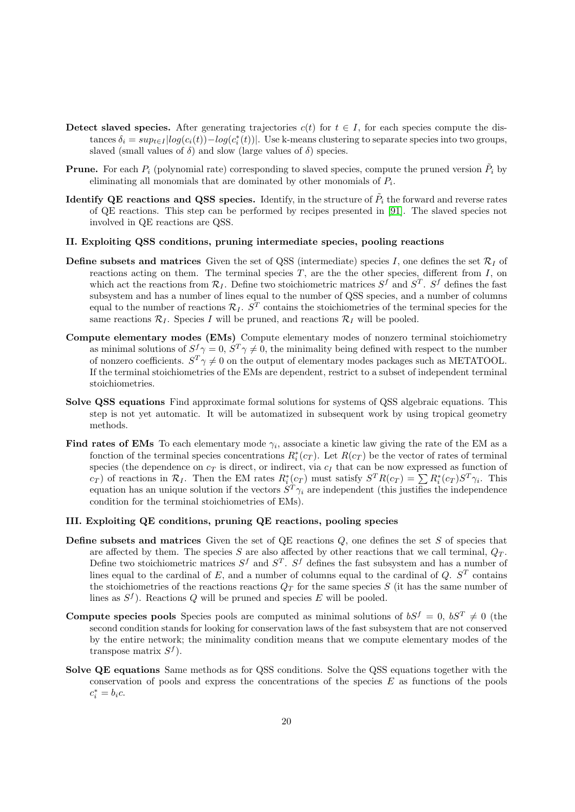- Detect slaved species. After generating trajectories  $c(t)$  for  $t \in I$ , for each species compute the distances  $\delta_i = \sup_{t \in I} |log(c_i(t)) - log(c_i^*(t))|$ . Use k-means clustering to separate species into two groups, slaved (small values of  $\delta$ ) and slow (large values of  $\delta$ ) species.
- **Prune.** For each  $P_i$  (polynomial rate) corresponding to slaved species, compute the pruned version  $\tilde{P}_i$  by eliminating all monomials that are dominated by other monomials of  $P_i$ .
- Identify QE reactions and QSS species. Identify, in the structure of  $\tilde{P}_i$  the forward and reverse rates of QE reactions. This step can be performed by recipes presented in [\[91\]](#page-16-14). The slaved species not involved in QE reactions are QSS.

#### II. Exploiting QSS conditions, pruning intermediate species, pooling reactions

- **Define subsets and matrices** Given the set of QSS (intermediate) species I, one defines the set  $\mathcal{R}_I$  of reactions acting on them. The terminal species  $T$ , are the other species, different from  $I$ , on which act the reactions from  $\mathcal{R}_I$ . Define two stoichiometric matrices  $S^f$  and  $S^T$ .  $S^f$  defines the fast subsystem and has a number of lines equal to the number of QSS species, and a number of columns equal to the number of reactions  $\mathcal{R}_I$ .  $S^T$  contains the stoichiometries of the terminal species for the same reactions  $\mathcal{R}_I$ . Species I will be pruned, and reactions  $\mathcal{R}_I$  will be pooled.
- Compute elementary modes (EMs) Compute elementary modes of nonzero terminal stoichiometry as minimal solutions of  $S^f \gamma = 0$ ,  $S^T \gamma \neq 0$ , the minimality being defined with respect to the number of nonzero coefficients.  $S^T \gamma \neq 0$  on the output of elementary modes packages such as METATOOL. If the terminal stoichiometries of the EMs are dependent, restrict to a subset of independent terminal stoichiometries.
- Solve QSS equations Find approximate formal solutions for systems of QSS algebraic equations. This step is not yet automatic. It will be automatized in subsequent work by using tropical geometry methods.
- Find rates of EMs To each elementary mode  $\gamma_i$ , associate a kinetic law giving the rate of the EM as a fonction of the terminal species concentrations  $R_i^*(c_T)$ . Let  $R(c_T)$  be the vector of rates of terminal species (the dependence on  $c_T$  is direct, or indirect, via  $c_I$  that can be now expressed as function of  $c_T$ ) of reactions in  $\mathcal{R}_I$ . Then the EM rates  $R_i^*(c_T)$  must satisfy  $S^T R(c_T) = \sum R_i^*(c_T) S^T \gamma_i$ . This equation has an unique solution if the vectors  $S^T \gamma_i$  are independent (this justifies the independence condition for the terminal stoichiometries of EMs).

#### III. Exploiting QE conditions, pruning QE reactions, pooling species

- **Define subsets and matrices** Given the set of  $QE$  reactions  $Q$ , one defines the set  $S$  of species that are affected by them. The species S are also affected by other reactions that we call terminal,  $Q_T$ . Define two stoichiometric matrices  $S^f$  and  $S^T$ .  $S^f$  defines the fast subsystem and has a number of lines equal to the cardinal of E, and a number of columns equal to the cardinal of  $Q$ .  $S<sup>T</sup>$  contains the stoichiometries of the reactions reactions  $Q_T$  for the same species S (it has the same number of lines as  $S^f$ ). Reactions Q will be pruned and species E will be pooled.
- **Compute species pools** Species pools are computed as minimal solutions of  $bS^f = 0$ ,  $bS^T \neq 0$  (the second condition stands for looking for conservation laws of the fast subsystem that are not conserved by the entire network; the minimality condition means that we compute elementary modes of the transpose matrix  $S^f$ ).
- Solve QE equations Same methods as for QSS conditions. Solve the QSS equations together with the conservation of pools and express the concentrations of the species  $E$  as functions of the pools  $c_i^* = b_i c.$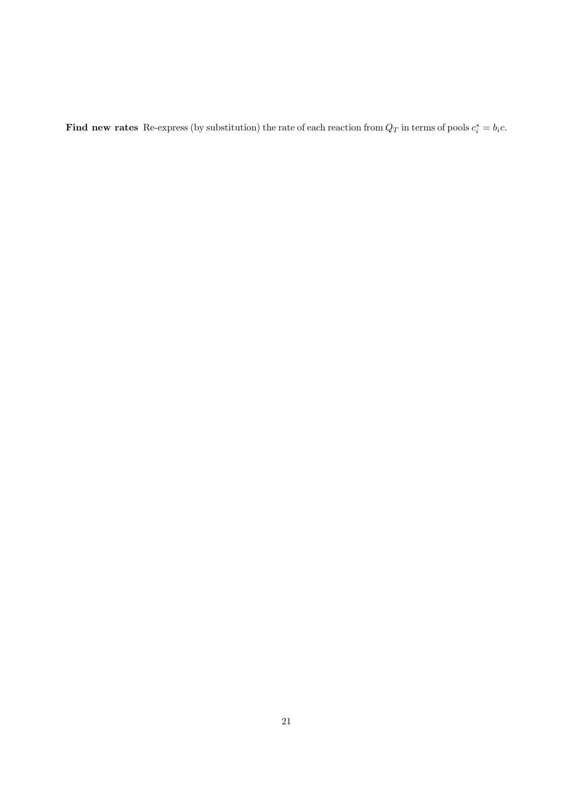Find new rates Re-express (by substitution) the rate of each reaction from  $Q_T$  in terms of pools  $c_i^* = b_i c$ .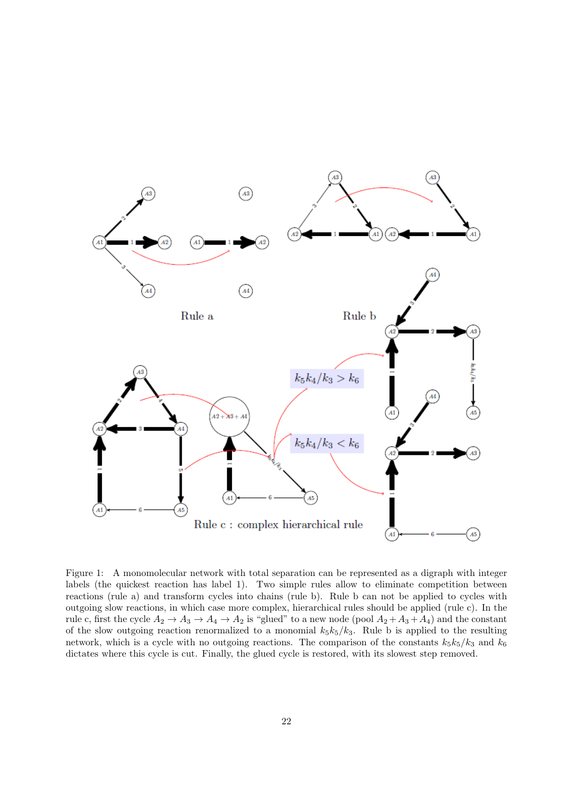

<span id="page-21-0"></span>Figure 1: A monomolecular network with total separation can be represented as a digraph with integer labels (the quickest reaction has label 1). Two simple rules allow to eliminate competition between reactions (rule a) and transform cycles into chains (rule b). Rule b can not be applied to cycles with outgoing slow reactions, in which case more complex, hierarchical rules should be applied (rule c). In the rule c, first the cycle  $A_2 \to A_3 \to A_4 \to A_2$  is "glued" to a new node (pool  $A_2 + A_3 + A_4$ ) and the constant of the slow outgoing reaction renormalized to a monomial  $k_5k_5/k_3$ . Rule b is applied to the resulting network, which is a cycle with no outgoing reactions. The comparison of the constants  $k_5k_5/k_3$  and  $k_6$ dictates where this cycle is cut. Finally, the glued cycle is restored, with its slowest step removed.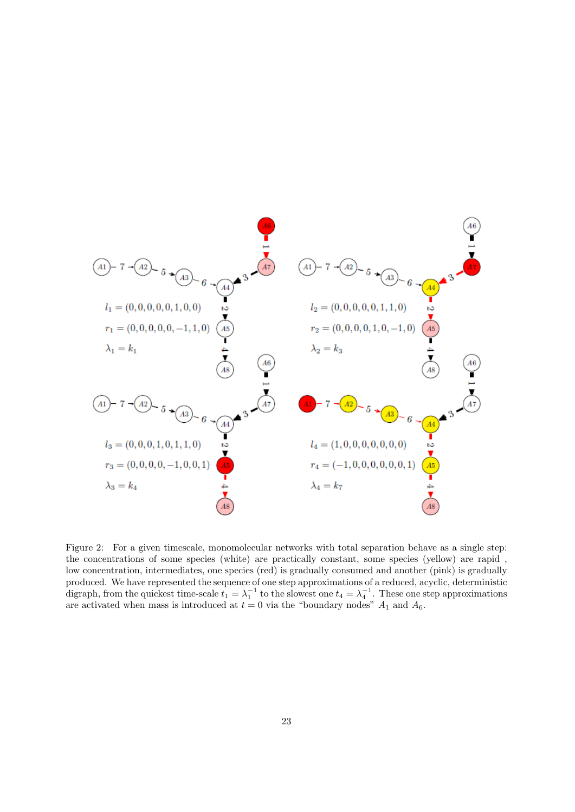

<span id="page-22-0"></span>Figure 2: For a given timescale, monomolecular networks with total separation behave as a single step: the concentrations of some species (white) are practically constant, some species (yellow) are rapid , low concentration, intermediates, one species (red) is gradually consumed and another (pink) is gradually produced. We have represented the sequence of one step approximations of a reduced, acyclic, deterministic digraph, from the quickest time-scale  $t_1 = \lambda_1^{-1}$  to the slowest one  $t_4 = \lambda_4^{-1}$ . These one step approximations are activated when mass is introduced at  $t = 0$  via the "boundary nodes"  $A_1$  and  $A_6$ .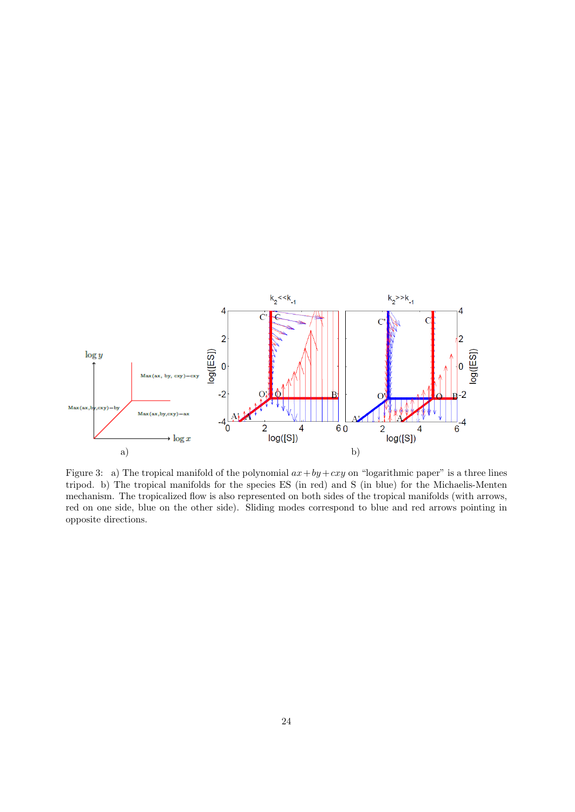

<span id="page-23-0"></span>Figure 3: a) The tropical manifold of the polynomial  $ax + by + cxy$  on "logarithmic paper" is a three lines tripod. b) The tropical manifolds for the species ES (in red) and S (in blue) for the Michaelis-Menten mechanism. The tropicalized flow is also represented on both sides of the tropical manifolds (with arrows, red on one side, blue on the other side). Sliding modes correspond to blue and red arrows pointing in opposite directions.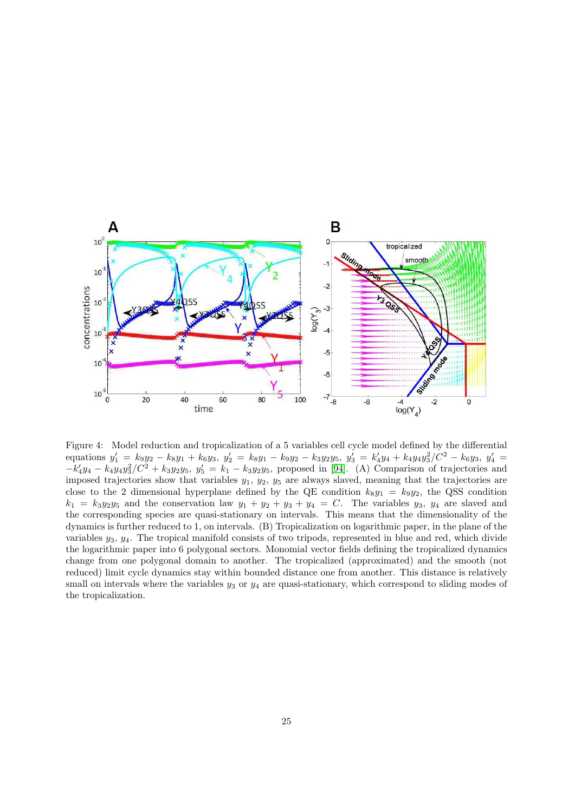

<span id="page-24-0"></span>Figure 4: Model reduction and tropicalization of a 5 variables cell cycle model defined by the differential equations  $y'_1 = k_9y_2 - k_8y_1 + k_6y_3$ ,  $y'_2 = k_8y_1 - k_9y_2 - k_3y_2y_5$ ,  $y'_3 = k'_4y_4 + k_4y_4y_3^2/C^2 - k_6y_3$ ,  $y'_4 = k'_4y_4 - k_6y_4$  $-k'_4y_4 - k_4y_4y_3^2/C^2 + k_3y_2y_5, y'_5 = k_1 - k_3y_2y_5$ , proposed in [\[94\]](#page-16-15). (A) Comparison of trajectories and imposed trajectories show that variables  $y_1$ ,  $y_2$ ,  $y_5$  are always slaved, meaning that the trajectories are close to the 2 dimensional hyperplane defined by the QE condition  $k_8y_1 = k_9y_2$ , the QSS condition  $k_1 = k_3y_2y_5$  and the conservation law  $y_1 + y_2 + y_3 + y_4 = C$ . The variables  $y_3$ ,  $y_4$  are slaved and the corresponding species are quasi-stationary on intervals. This means that the dimensionality of the dynamics is further reduced to 1, on intervals. (B) Tropicalization on logarithmic paper, in the plane of the variables  $y_3, y_4$ . The tropical manifold consists of two tripods, represented in blue and red, which divide the logarithmic paper into 6 polygonal sectors. Monomial vector fields defining the tropicalized dynamics change from one polygonal domain to another. The tropicalized (approximated) and the smooth (not reduced) limit cycle dynamics stay within bounded distance one from another. This distance is relatively small on intervals where the variables  $y_3$  or  $y_4$  are quasi-stationary, which correspond to sliding modes of the tropicalization.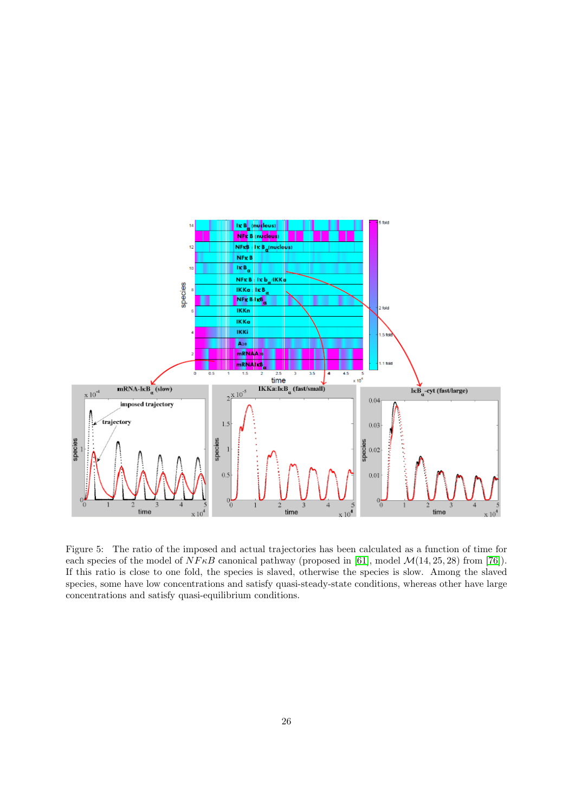

<span id="page-25-0"></span>Figure 5: The ratio of the imposed and actual trajectories has been calculated as a function of time for each species of the model of  $N F \kappa B$  canonical pathway (proposed in [\[61\]](#page-15-17), model  $\mathcal{M}(14, 25, 28)$  from [\[76\]](#page-15-10)). If this ratio is close to one fold, the species is slaved, otherwise the species is slow. Among the slaved species, some have low concentrations and satisfy quasi-steady-state conditions, whereas other have large concentrations and satisfy quasi-equilibrium conditions.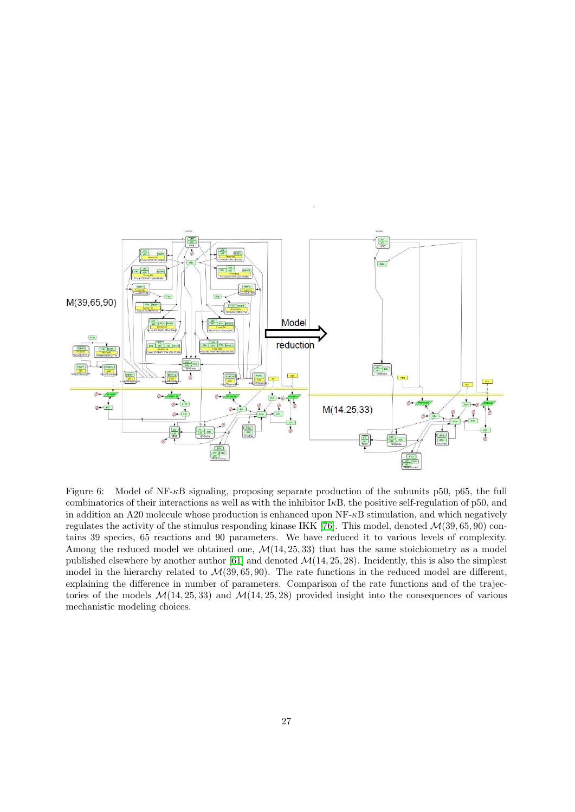

<span id="page-26-0"></span>Figure 6: Model of NF- $\kappa$ B signaling, proposing separate production of the subunits p50, p65, the full combinatorics of their interactions as well as with the inhibitor  $I\kappa B$ , the positive self-regulation of p50, and in addition an A20 molecule whose production is enhanced upon  $NF<sub>z</sub>B$  stimulation, and which negatively regulates the activity of the stimulus responding kinase IKK [\[76\]](#page-15-10). This model, denoted  $\mathcal{M}(39, 65, 90)$  contains 39 species, 65 reactions and 90 parameters. We have reduced it to various levels of complexity. Among the reduced model we obtained one,  $\mathcal{M}(14, 25, 33)$  that has the same stoichiometry as a model published elsewhere by another author [\[61\]](#page-15-17) and denoted  $\mathcal{M}(14, 25, 28)$ . Incidently, this is also the simplest model in the hierarchy related to  $\mathcal{M}(39, 65, 90)$ . The rate functions in the reduced model are different, explaining the difference in number of parameters. Comparison of the rate functions and of the trajectories of the models  $\mathcal{M}(14, 25, 33)$  and  $\mathcal{M}(14, 25, 28)$  provided insight into the consequences of various mechanistic modeling choices.